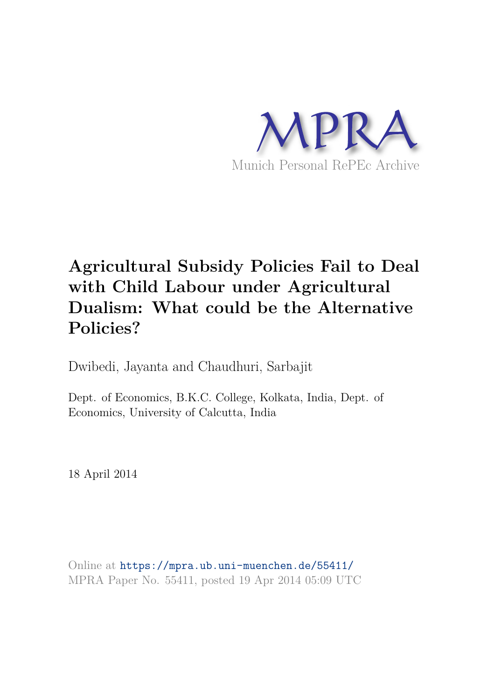

# **Agricultural Subsidy Policies Fail to Deal with Child Labour under Agricultural Dualism: What could be the Alternative Policies?**

Dwibedi, Jayanta and Chaudhuri, Sarbajit

Dept. of Economics, B.K.C. College, Kolkata, India, Dept. of Economics, University of Calcutta, India

18 April 2014

Online at https://mpra.ub.uni-muenchen.de/55411/ MPRA Paper No. 55411, posted 19 Apr 2014 05:09 UTC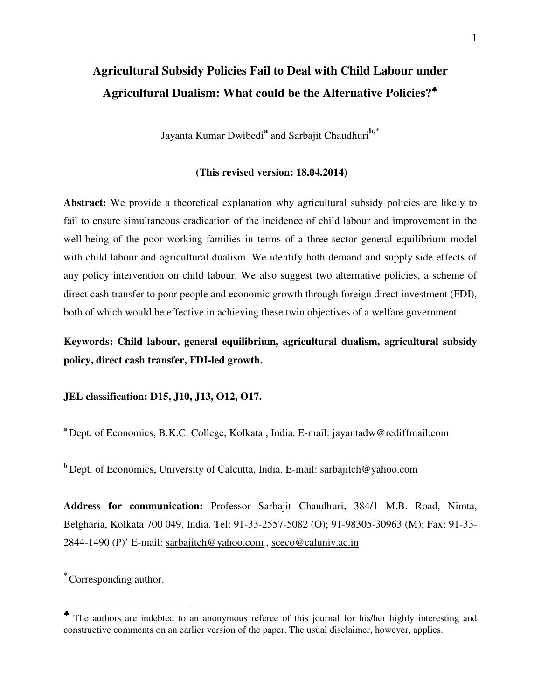# **Agricultural Subsidy Policies Fail to Deal with Child Labour under Agricultural Dualism: What could be the Alternative Policies?**♣

Jayanta Kumar Dwibedi**<sup>a</sup>** and Sarbajit Chaudhuri**b,\***

#### **(This revised version: 18.04.2014)**

**Abstract:** We provide a theoretical explanation why agricultural subsidy policies are likely to fail to ensure simultaneous eradication of the incidence of child labour and improvement in the well-being of the poor working families in terms of a three-sector general equilibrium model with child labour and agricultural dualism. We identify both demand and supply side effects of any policy intervention on child labour. We also suggest two alternative policies, a scheme of direct cash transfer to poor people and economic growth through foreign direct investment (FDI), both of which would be effective in achieving these twin objectives of a welfare government.

**Keywords: Child labour, general equilibrium, agricultural dualism, agricultural subsidy policy, direct cash transfer, FDI-led growth.** 

**JEL classification: D15, J10, J13, O12, O17.** 

**<sup>a</sup>** Dept. of Economics, B.K.C. College, Kolkata , India. E-mail: jayantadw@rediffmail.com

**<sup>b</sup>** Dept. of Economics, University of Calcutta, India. E-mail: sarbajitch@yahoo.com

**Address for communication:** Professor Sarbajit Chaudhuri, 384/1 M.B. Road, Nimta, Belgharia, Kolkata 700 049, India. Tel: 91-33-2557-5082 (O); 91-98305-30963 (M); Fax: 91-33- 2844-1490 (P)' E-mail: sarbajitch@yahoo.com , sceco@caluniv.ac.in

**\*** Corresponding author.

<sup>♣</sup> The authors are indebted to an anonymous referee of this journal for his/her highly interesting and constructive comments on an earlier version of the paper. The usual disclaimer, however, applies.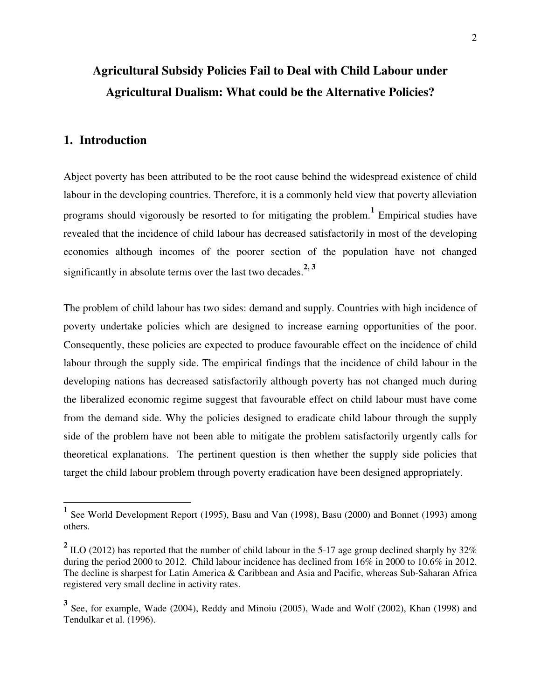# **Agricultural Subsidy Policies Fail to Deal with Child Labour under Agricultural Dualism: What could be the Alternative Policies?**

## **1. Introduction**

-

Abject poverty has been attributed to be the root cause behind the widespread existence of child labour in the developing countries. Therefore, it is a commonly held view that poverty alleviation programs should vigorously be resorted to for mitigating the problem.**<sup>1</sup>** Empirical studies have revealed that the incidence of child labour has decreased satisfactorily in most of the developing economies although incomes of the poorer section of the population have not changed significantly in absolute terms over the last two decades.**2, 3**

The problem of child labour has two sides: demand and supply. Countries with high incidence of poverty undertake policies which are designed to increase earning opportunities of the poor. Consequently, these policies are expected to produce favourable effect on the incidence of child labour through the supply side. The empirical findings that the incidence of child labour in the developing nations has decreased satisfactorily although poverty has not changed much during the liberalized economic regime suggest that favourable effect on child labour must have come from the demand side. Why the policies designed to eradicate child labour through the supply side of the problem have not been able to mitigate the problem satisfactorily urgently calls for theoretical explanations. The pertinent question is then whether the supply side policies that target the child labour problem through poverty eradication have been designed appropriately.

**<sup>1</sup>** See World Development Report (1995), Basu and Van (1998), Basu (2000) and Bonnet (1993) among others.

<sup>&</sup>lt;sup>2</sup> ILO (2012) has reported that the number of child labour in the 5-17 age group declined sharply by  $32\%$ during the period 2000 to 2012. Child labour incidence has declined from 16% in 2000 to 10.6% in 2012. The decline is sharpest for Latin America & Caribbean and Asia and Pacific, whereas Sub-Saharan Africa registered very small decline in activity rates.

<sup>&</sup>lt;sup>3</sup> See, for example, Wade (2004), Reddy and Minoiu (2005), Wade and Wolf (2002), Khan (1998) and Tendulkar et al. (1996).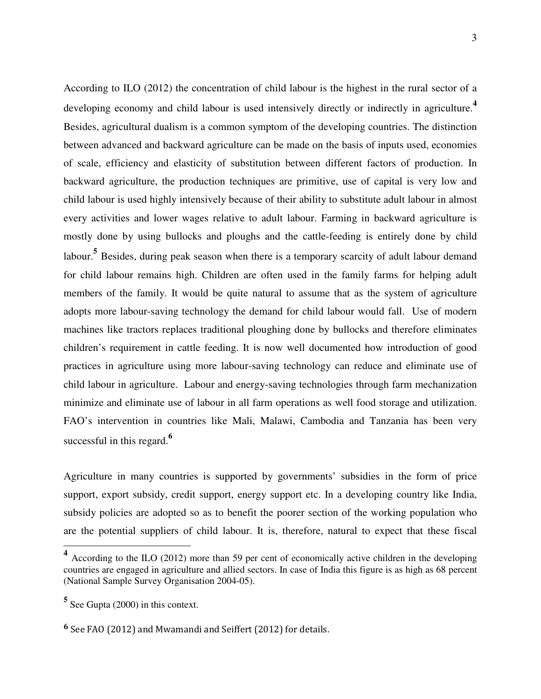According to ILO (2012) the concentration of child labour is the highest in the rural sector of a developing economy and child labour is used intensively directly or indirectly in agriculture.**<sup>4</sup>** Besides, agricultural dualism is a common symptom of the developing countries. The distinction between advanced and backward agriculture can be made on the basis of inputs used, economies of scale, efficiency and elasticity of substitution between different factors of production. In backward agriculture, the production techniques are primitive, use of capital is very low and child labour is used highly intensively because of their ability to substitute adult labour in almost every activities and lower wages relative to adult labour. Farming in backward agriculture is mostly done by using bullocks and ploughs and the cattle-feeding is entirely done by child labour.**<sup>5</sup>** Besides, during peak season when there is a temporary scarcity of adult labour demand for child labour remains high. Children are often used in the family farms for helping adult members of the family. It would be quite natural to assume that as the system of agriculture adopts more labour-saving technology the demand for child labour would fall. Use of modern machines like tractors replaces traditional ploughing done by bullocks and therefore eliminates children's requirement in cattle feeding. It is now well documented how introduction of good practices in agriculture using more labour-saving technology can reduce and eliminate use of child labour in agriculture. Labour and energy-saving technologies through farm mechanization minimize and eliminate use of labour in all farm operations as well food storage and utilization. FAO's intervention in countries like Mali, Malawi, Cambodia and Tanzania has been very successful in this regard.**<sup>6</sup>**

Agriculture in many countries is supported by governments' subsidies in the form of price support, export subsidy, credit support, energy support etc. In a developing country like India, subsidy policies are adopted so as to benefit the poorer section of the working population who are the potential suppliers of child labour. It is, therefore, natural to expect that these fiscal

<sup>&</sup>lt;sup>4</sup> According to the ILO (2012) more than 59 per cent of economically active children in the developing countries are engaged in agriculture and allied sectors. In case of India this figure is as high as 68 percent (National Sample Survey Organisation 2004-05).

**<sup>5</sup>** See Gupta (2000) in this context.

<sup>6</sup> See FAO (2012) and Mwamandi and Seiffert (2012) for details.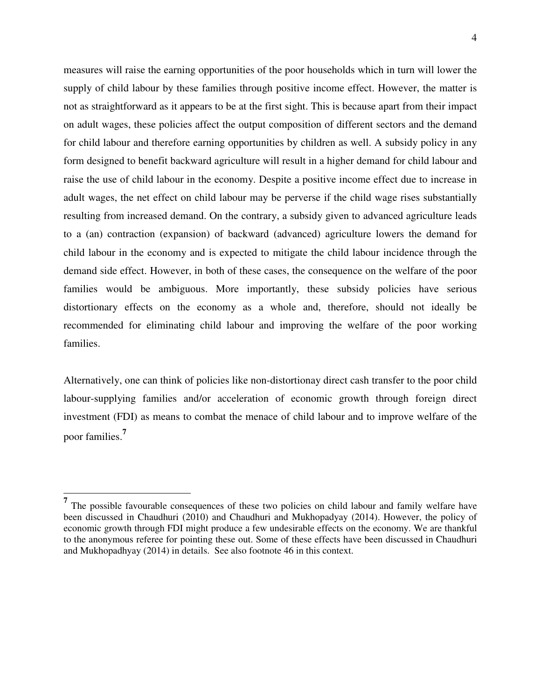measures will raise the earning opportunities of the poor households which in turn will lower the supply of child labour by these families through positive income effect. However, the matter is not as straightforward as it appears to be at the first sight. This is because apart from their impact on adult wages, these policies affect the output composition of different sectors and the demand for child labour and therefore earning opportunities by children as well. A subsidy policy in any form designed to benefit backward agriculture will result in a higher demand for child labour and raise the use of child labour in the economy. Despite a positive income effect due to increase in adult wages, the net effect on child labour may be perverse if the child wage rises substantially resulting from increased demand. On the contrary, a subsidy given to advanced agriculture leads to a (an) contraction (expansion) of backward (advanced) agriculture lowers the demand for child labour in the economy and is expected to mitigate the child labour incidence through the demand side effect. However, in both of these cases, the consequence on the welfare of the poor families would be ambiguous. More importantly, these subsidy policies have serious distortionary effects on the economy as a whole and, therefore, should not ideally be recommended for eliminating child labour and improving the welfare of the poor working families.

Alternatively, one can think of policies like non-distortionay direct cash transfer to the poor child labour-supplying families and/or acceleration of economic growth through foreign direct investment (FDI) as means to combat the menace of child labour and to improve welfare of the poor families.**<sup>7</sup>**

<sup>&</sup>lt;sup>7</sup> The possible favourable consequences of these two policies on child labour and family welfare have been discussed in Chaudhuri (2010) and Chaudhuri and Mukhopadyay (2014). However, the policy of economic growth through FDI might produce a few undesirable effects on the economy. We are thankful to the anonymous referee for pointing these out. Some of these effects have been discussed in Chaudhuri and Mukhopadhyay (2014) in details. See also footnote 46 in this context.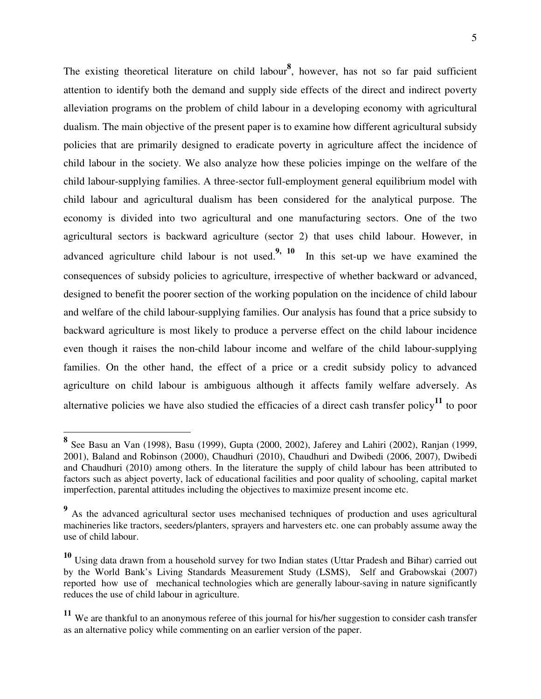The existing theoretical literature on child labour<sup>8</sup>, however, has not so far paid sufficient attention to identify both the demand and supply side effects of the direct and indirect poverty alleviation programs on the problem of child labour in a developing economy with agricultural dualism. The main objective of the present paper is to examine how different agricultural subsidy policies that are primarily designed to eradicate poverty in agriculture affect the incidence of child labour in the society. We also analyze how these policies impinge on the welfare of the child labour-supplying families. A three-sector full-employment general equilibrium model with child labour and agricultural dualism has been considered for the analytical purpose. The economy is divided into two agricultural and one manufacturing sectors. One of the two agricultural sectors is backward agriculture (sector 2) that uses child labour. However, in advanced agriculture child labour is not used.**9, 10** In this set-up we have examined the consequences of subsidy policies to agriculture, irrespective of whether backward or advanced, designed to benefit the poorer section of the working population on the incidence of child labour and welfare of the child labour-supplying families. Our analysis has found that a price subsidy to backward agriculture is most likely to produce a perverse effect on the child labour incidence even though it raises the non-child labour income and welfare of the child labour-supplying families. On the other hand, the effect of a price or a credit subsidy policy to advanced agriculture on child labour is ambiguous although it affects family welfare adversely. As alternative policies we have also studied the efficacies of a direct cash transfer policy**11** to poor

**<sup>8</sup>** See Basu an Van (1998), Basu (1999), Gupta (2000, 2002), Jaferey and Lahiri (2002), Ranjan (1999, 2001), Baland and Robinson (2000), Chaudhuri (2010), Chaudhuri and Dwibedi (2006, 2007), Dwibedi and Chaudhuri (2010) among others. In the literature the supply of child labour has been attributed to factors such as abject poverty, lack of educational facilities and poor quality of schooling, capital market imperfection, parental attitudes including the objectives to maximize present income etc.

<sup>&</sup>lt;sup>9</sup> As the advanced agricultural sector uses mechanised techniques of production and uses agricultural machineries like tractors, seeders/planters, sprayers and harvesters etc. one can probably assume away the use of child labour.

**<sup>10</sup>** Using data drawn from a household survey for two Indian states (Uttar Pradesh and Bihar) carried out by the World Bank's Living Standards Measurement Study (LSMS), Self and Grabowskai (2007) reported how use of mechanical technologies which are generally labour-saving in nature significantly reduces the use of child labour in agriculture.

**<sup>11</sup>** We are thankful to an anonymous referee of this journal for his/her suggestion to consider cash transfer as an alternative policy while commenting on an earlier version of the paper.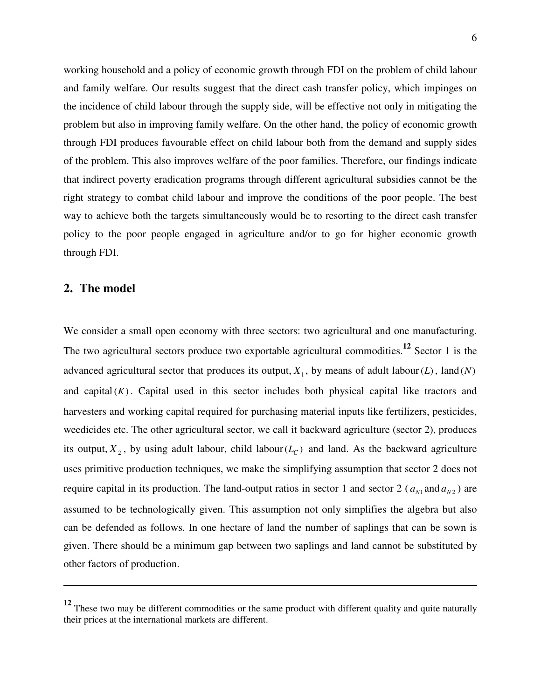working household and a policy of economic growth through FDI on the problem of child labour and family welfare. Our results suggest that the direct cash transfer policy, which impinges on the incidence of child labour through the supply side, will be effective not only in mitigating the problem but also in improving family welfare. On the other hand, the policy of economic growth through FDI produces favourable effect on child labour both from the demand and supply sides of the problem. This also improves welfare of the poor families. Therefore, our findings indicate that indirect poverty eradication programs through different agricultural subsidies cannot be the right strategy to combat child labour and improve the conditions of the poor people. The best way to achieve both the targets simultaneously would be to resorting to the direct cash transfer policy to the poor people engaged in agriculture and/or to go for higher economic growth through FDI.

#### **2. The model**

j

We consider a small open economy with three sectors: two agricultural and one manufacturing. The two agricultural sectors produce two exportable agricultural commodities.**12** Sector 1 is the advanced agricultural sector that produces its output,  $X_1$ , by means of adult labour(*L*), land(*N*) and capital  $(K)$ . Capital used in this sector includes both physical capital like tractors and harvesters and working capital required for purchasing material inputs like fertilizers, pesticides, weedicides etc. The other agricultural sector, we call it backward agriculture (sector 2), produces its output,  $X_2$ , by using adult labour, child labour( $L_C$ ) and land. As the backward agriculture uses primitive production techniques, we make the simplifying assumption that sector 2 does not require capital in its production. The land-output ratios in sector 1 and sector 2 ( $a_{N1}$  and  $a_{N2}$ ) are assumed to be technologically given. This assumption not only simplifies the algebra but also can be defended as follows. In one hectare of land the number of saplings that can be sown is given. There should be a minimum gap between two saplings and land cannot be substituted by other factors of production.

<sup>&</sup>lt;sup>12</sup> These two may be different commodities or the same product with different quality and quite naturally their prices at the international markets are different.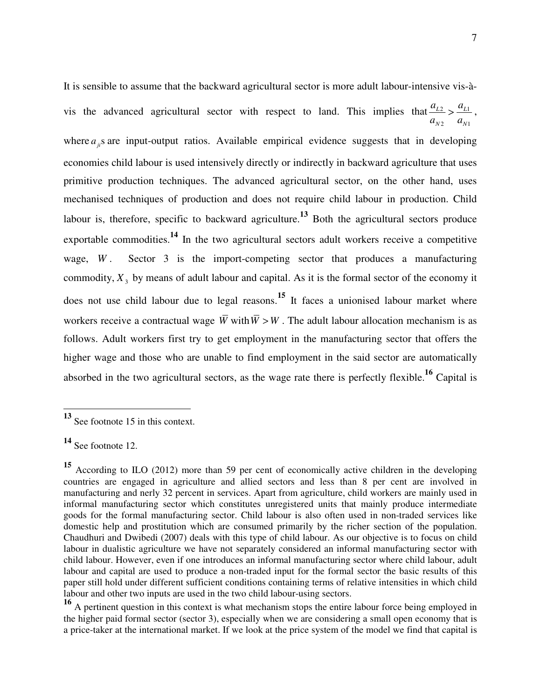It is sensible to assume that the backward agricultural sector is more adult labour-intensive vis-àvis the advanced agricultural sector with respect to land. This implies that  $\frac{a_{L2}}{2} > \frac{a_{L1}}{2}$ 2  $u_{N1}$  $N2 \qquad u_N$  $a_{N2}$  a  $>\frac{u_{L1}}{u_{L1}}$ , where  $a_{\mu}$ s are input-output ratios. Available empirical evidence suggests that in developing economies child labour is used intensively directly or indirectly in backward agriculture that uses primitive production techniques. The advanced agricultural sector, on the other hand, uses mechanised techniques of production and does not require child labour in production. Child labour is, therefore, specific to backward agriculture.<sup>13</sup> Both the agricultural sectors produce exportable commodities.**14** In the two agricultural sectors adult workers receive a competitive wage, *W*. Sector 3 is the import-competing sector that produces a manufacturing commodity,  $X_3$  by means of adult labour and capital. As it is the formal sector of the economy it does not use child labour due to legal reasons.**15** It faces a unionised labour market where workers receive a contractual wage  $\overline{W}$  with  $\overline{W} > W$ . The adult labour allocation mechanism is as follows. Adult workers first try to get employment in the manufacturing sector that offers the higher wage and those who are unable to find employment in the said sector are automatically absorbed in the two agricultural sectors, as the wage rate there is perfectly flexible.**16** Capital is

-

<sup>16</sup> A pertinent question in this context is what mechanism stops the entire labour force being employed in the higher paid formal sector (sector 3), especially when we are considering a small open economy that is a price-taker at the international market. If we look at the price system of the model we find that capital is

**<sup>13</sup>** See footnote 15 in this context.

**<sup>14</sup>** See footnote 12.

**<sup>15</sup>** According to ILO (2012) more than 59 per cent of economically active children in the developing countries are engaged in agriculture and allied sectors and less than 8 per cent are involved in manufacturing and nerly 32 percent in services. Apart from agriculture, child workers are mainly used in informal manufacturing sector which constitutes unregistered units that mainly produce intermediate goods for the formal manufacturing sector. Child labour is also often used in non-traded services like domestic help and prostitution which are consumed primarily by the richer section of the population. Chaudhuri and Dwibedi (2007) deals with this type of child labour. As our objective is to focus on child labour in dualistic agriculture we have not separately considered an informal manufacturing sector with child labour. However, even if one introduces an informal manufacturing sector where child labour, adult labour and capital are used to produce a non-traded input for the formal sector the basic results of this paper still hold under different sufficient conditions containing terms of relative intensities in which child labour and other two inputs are used in the two child labour-using sectors.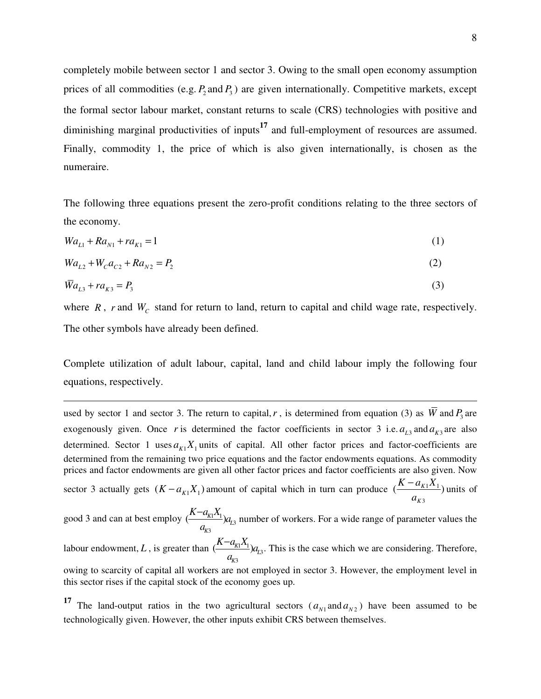completely mobile between sector 1 and sector 3. Owing to the small open economy assumption prices of all commodities (e.g.  $P_2$  and  $P_3$ ) are given internationally. Competitive markets, except the formal sector labour market, constant returns to scale (CRS) technologies with positive and diminishing marginal productivities of inputs**17** and full-employment of resources are assumed. Finally, commodity 1, the price of which is also given internationally, is chosen as the numeraire.

The following three equations present the zero-profit conditions relating to the three sectors of the economy.

$$
Wa_{L1} + Ra_{N1} + ra_{K1} = 1 \tag{1}
$$

$$
Wa_{L2} + W_C a_{C2} + Ra_{N2} = P_2
$$
 (2)

$$
Wa_{L3} + ra_{K3} = P_3 \tag{3}
$$

where  $R$ ,  $r$  and  $W_c$  stand for return to land, return to capital and child wage rate, respectively. The other symbols have already been defined.

Complete utilization of adult labour, capital, land and child labour imply the following four equations, respectively.

j

used by sector 1 and sector 3. The return to capital,  $r$ , is determined from equation (3) as *W* and  $P_3$  are exogenously given. Once *r* is determined the factor coefficients in sector 3 i.e.  $a_{L3}$  and  $a_{K3}$  are also determined. Sector 1 uses  $a_{K1}X_1$  units of capital. All other factor prices and factor-coefficients are determined from the remaining two price equations and the factor endowments equations. As commodity prices and factor endowments are given all other factor prices and factor coefficients are also given. Now sector 3 actually gets  $(K - a_{K1}X_1)$  amount of capital which in turn can produce  $(\frac{K - a_{K1}X_1}{r})$ 3  $\left( \frac{K - u_{K1}X_1}{k} \right)$ *K*  $K - a_{K} X$ *a*  $\frac{-a_{K1}X_1}{a_{K1}}$ units of good 3 and can at best employ  $\left(\frac{R_{K1}X_1}{a}\right) a_{L3}$ 3  $\left(\frac{K - u_{Kl}X_1}{2}\right)a_L$ *K*  $\frac{K - a_{K1}X_1}{\longrightarrow}$ *a*  $\frac{-a_{\text{K1}}X_1}{a_{\text{K1}}}a_{\text{K2}}$  number of workers. For a wide range of parameter values the labour endowment, L, is greater than  $\left(\frac{A - a_{K1}A_1}{2}\right) a_{K2}$ 3  $\left( \frac{K - u_{Kl}X_l}{l} \right) a_l$ *K*  $\frac{K - a_{K1}X_1}{K}$ *a*  $\frac{-a_{\kappa_1}X_1}{a_{\kappa_1}}a_{\kappa_2}$ . This is the case which we are considering. Therefore, owing to scarcity of capital all workers are not employed in sector 3. However, the employment level in

this sector rises if the capital stock of the economy goes up.

**17** The land-output ratios in the two agricultural sectors  $(a_{N1} \text{ and } a_{N2})$  have been assumed to be technologically given. However, the other inputs exhibit CRS between themselves.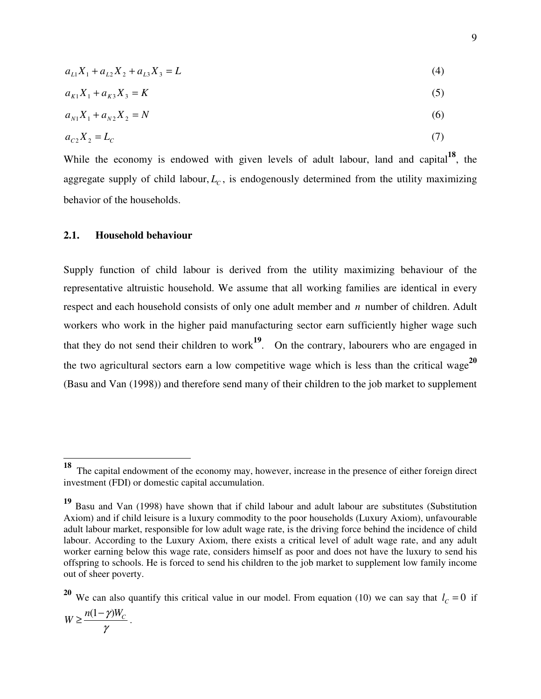$$
a_{L1}X_1 + a_{L2}X_2 + a_{L3}X_3 = L \tag{4}
$$

$$
a_{K1}X_1 + a_{K3}X_3 = K \tag{5}
$$

$$
a_{N1}X_1 + a_{N2}X_2 = N \tag{6}
$$

$$
a_{c2}X_2 = L_c \tag{7}
$$

While the economy is endowed with given levels of adult labour, land and capital<sup>18</sup>, the aggregate supply of child labour,  $L_c$ , is endogenously determined from the utility maximizing behavior of the households.

#### **2.1. Household behaviour**

Supply function of child labour is derived from the utility maximizing behaviour of the representative altruistic household. We assume that all working families are identical in every respect and each household consists of only one adult member and *n* number of children. Adult workers who work in the higher paid manufacturing sector earn sufficiently higher wage such that they do not send their children to work**19**. On the contrary, labourers who are engaged in the two agricultural sectors earn a low competitive wage which is less than the critical wage**<sup>20</sup>** (Basu and Van (1998)) and therefore send many of their children to the job market to supplement

**<sup>18</sup>** The capital endowment of the economy may, however, increase in the presence of either foreign direct investment (FDI) or domestic capital accumulation.

**<sup>19</sup>** Basu and Van (1998) have shown that if child labour and adult labour are substitutes (Substitution Axiom) and if child leisure is a luxury commodity to the poor households (Luxury Axiom), unfavourable adult labour market, responsible for low adult wage rate, is the driving force behind the incidence of child labour. According to the Luxury Axiom, there exists a critical level of adult wage rate, and any adult worker earning below this wage rate, considers himself as poor and does not have the luxury to send his offspring to schools. He is forced to send his children to the job market to supplement low family income out of sheer poverty.

<sup>&</sup>lt;sup>20</sup> We can also quantify this critical value in our model. From equation (10) we can say that  $l_c = 0$  if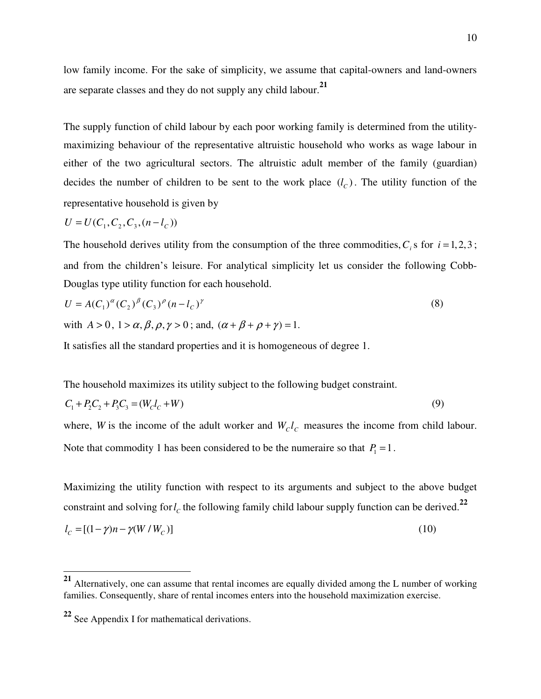low family income. For the sake of simplicity, we assume that capital-owners and land-owners are separate classes and they do not supply any child labour.**<sup>21</sup>**

The supply function of child labour by each poor working family is determined from the utilitymaximizing behaviour of the representative altruistic household who works as wage labour in either of the two agricultural sectors. The altruistic adult member of the family (guardian) decides the number of children to be sent to the work place  $(l_c)$ . The utility function of the representative household is given by

$$
U = U(C_1, C_2, C_3, (n - l_C))
$$

The household derives utility from the consumption of the three commodities,  $C_i$  s for  $i = 1, 2, 3$ ; and from the children's leisure. For analytical simplicity let us consider the following Cobb-Douglas type utility function for each household.

$$
U = A(C_1)^{\alpha} (C_2)^{\beta} (C_3)^{\rho} (n - l_c)^{\gamma}
$$
\n(8)

with  $A > 0$ ,  $1 > \alpha$ ,  $\beta$ ,  $\rho$ ,  $\gamma > 0$ ; and,  $(\alpha + \beta + \rho + \gamma) = 1$ .

It satisfies all the standard properties and it is homogeneous of degree 1.

The household maximizes its utility subject to the following budget constraint.

$$
C_1 + P_2 C_2 + P_3 C_3 = (W_c l_c + W)
$$
\n(9)

where, *W* is the income of the adult worker and  $W<sub>C</sub>l<sub>C</sub>$  measures the income from child labour. Note that commodity 1 has been considered to be the numeraire so that  $P_1 = 1$ .

Maximizing the utility function with respect to its arguments and subject to the above budget constraint and solving for  $l_c$  the following family child labour supply function can be derived.<sup>22</sup>

$$
l_c = [(1 - \gamma)n - \gamma(W/W_c)] \tag{10}
$$

<sup>21</sup> **<sup>21</sup>** Alternatively, one can assume that rental incomes are equally divided among the L number of working families. Consequently, share of rental incomes enters into the household maximization exercise.

**<sup>22</sup>** See Appendix I for mathematical derivations.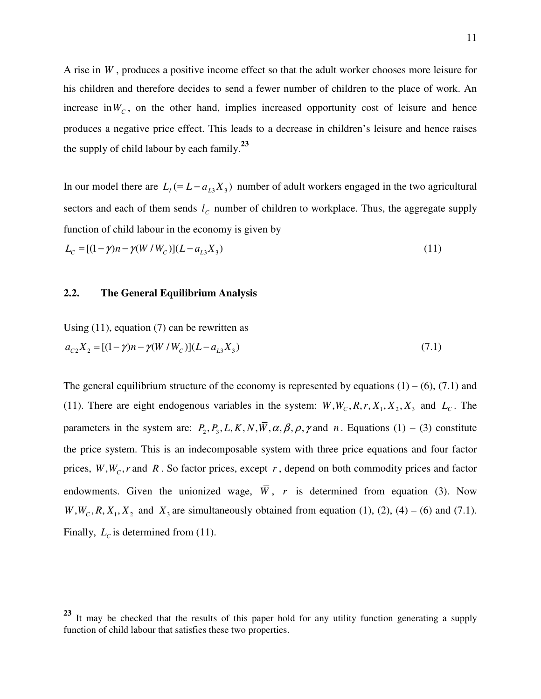A rise in *W* , produces a positive income effect so that the adult worker chooses more leisure for his children and therefore decides to send a fewer number of children to the place of work. An increase in  $W<sub>C</sub>$ , on the other hand, implies increased opportunity cost of leisure and hence produces a negative price effect. This leads to a decrease in children's leisure and hence raises the supply of child labour by each family.**<sup>23</sup>**

In our model there are  $L_1 (= L - a_{L3}X_3)$  number of adult workers engaged in the two agricultural sectors and each of them sends  $l_c$  number of children to workplace. Thus, the aggregate supply function of child labour in the economy is given by

$$
L_C = [(1 - \gamma)n - \gamma(W/W_C)](L - a_{L3}X_3)
$$
\n(11)

#### **2.2. The General Equilibrium Analysis**

-

Using (11), equation (7) can be rewritten as  
\n
$$
a_{C2}X_2 = [(1-\gamma)n - \gamma(W/W_C)](L - a_{L3}X_3)
$$
\n(7.1)

The general equilibrium structure of the economy is represented by equations  $(1) - (6)$ ,  $(7.1)$  and (11). There are eight endogenous variables in the system:  $W, W_c, R, r, X_1, X_2, X_3$  and  $L_c$ . The parameters in the system are:  $P_2, P_3, L, K, N, \overline{W}, \alpha, \beta, \rho, \gamma$  and *n*. Equations (1) – (3) constitute the price system. This is an indecomposable system with three price equations and four factor prices,  $W, W_c$ , *r* and *R*. So factor prices, except *r*, depend on both commodity prices and factor endowments. Given the unionized wage,  $\overline{W}$ , *r* is determined from equation (3). Now  $W, W_c, R, X_1, X_2$  and  $X_3$  are simultaneously obtained from equation (1), (2), (4) – (6) and (7.1). Finally,  $L_c$  is determined from (11).

**<sup>23</sup>** It may be checked that the results of this paper hold for any utility function generating a supply function of child labour that satisfies these two properties.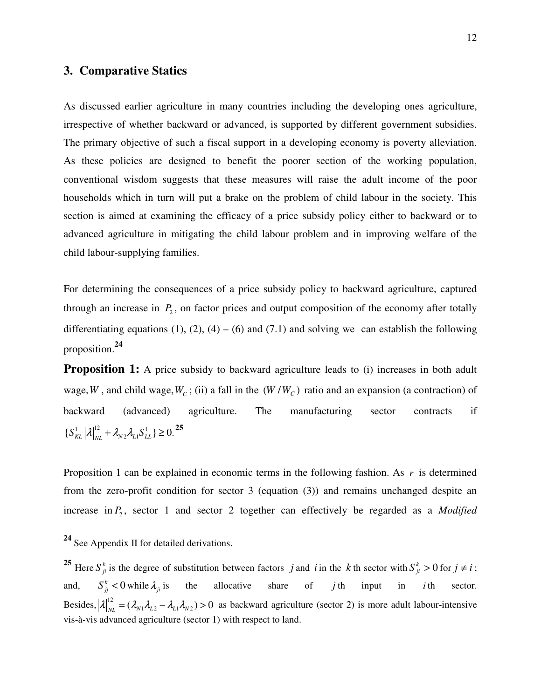# **3. Comparative Statics**

As discussed earlier agriculture in many countries including the developing ones agriculture, irrespective of whether backward or advanced, is supported by different government subsidies. The primary objective of such a fiscal support in a developing economy is poverty alleviation. As these policies are designed to benefit the poorer section of the working population, conventional wisdom suggests that these measures will raise the adult income of the poor households which in turn will put a brake on the problem of child labour in the society. This section is aimed at examining the efficacy of a price subsidy policy either to backward or to advanced agriculture in mitigating the child labour problem and in improving welfare of the child labour-supplying families.

For determining the consequences of a price subsidy policy to backward agriculture, captured through an increase in  $P_2$ , on factor prices and output composition of the economy after totally differentiating equations (1), (2), (4) – (6) and (7.1) and solving we can establish the following proposition.**<sup>24</sup>**

**Proposition 1:** A price subsidy to backward agriculture leads to (i) increases in both adult wage, W, and child wage,  $W_c$ ; (ii) a fall in the  $(W/W_c)$  ratio and an expansion (a contraction) of backward (advanced) agriculture. The manufacturing sector contracts if  $\{S_{KL}^1 | \lambda \big|_{NL}^{12} + \lambda_{N2} \lambda_{L1} S_{LL}^1\} \ge 0.$ <sup>25</sup>

Proposition 1 can be explained in economic terms in the following fashion. As *r* is determined from the zero-profit condition for sector 3 (equation (3)) and remains unchanged despite an increase in  $P_2$ , sector 1 and sector 2 together can effectively be regarded as a *Modified* 

**<sup>24</sup>** See Appendix II for detailed derivations.

<sup>&</sup>lt;sup>25</sup> Here  $S_{ji}^k$  is the degree of substitution between factors *j* and *i* in the *k* th sector with  $S_{ji}^k > 0$  for  $j \neq i$ ; and,  $S_{jj}^k < 0$  while  $\lambda_{ji}$  is the allocative share of *j* th input in *i* th sector. Besides,  $|\lambda|_{NL}^{12} = (\lambda_{N1}\lambda_{L2} - \lambda_{L1}\lambda_{N2}) > 0$  as backward agriculture (sector 2) is more adult labour-intensive vis-à-vis advanced agriculture (sector 1) with respect to land.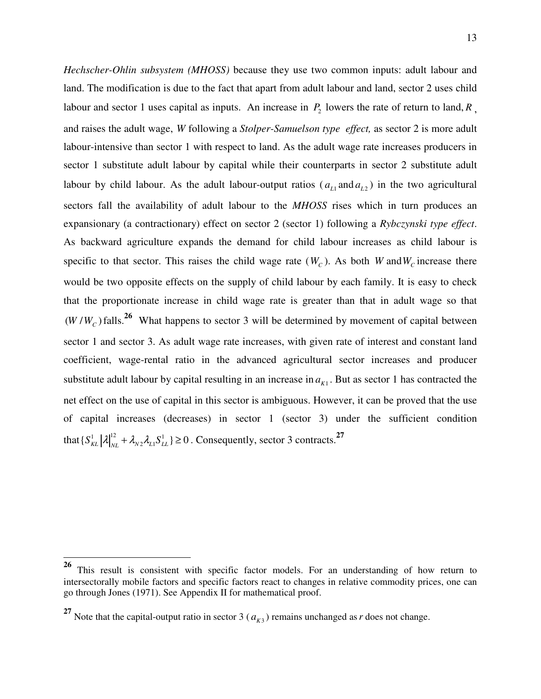*Hechscher-Ohlin subsystem (MHOSS)* because they use two common inputs: adult labour and land. The modification is due to the fact that apart from adult labour and land, sector 2 uses child labour and sector 1 uses capital as inputs. An increase in  $P_2$  lowers the rate of return to land,  $R_1$ , and raises the adult wage, *W* following a *Stolper-Samuelson type effect,* as sector 2 is more adult labour-intensive than sector 1 with respect to land. As the adult wage rate increases producers in sector 1 substitute adult labour by capital while their counterparts in sector 2 substitute adult labour by child labour. As the adult labour-output ratios  $(a_{L1} \text{ and } a_{L2})$  in the two agricultural sectors fall the availability of adult labour to the *MHOSS* rises which in turn produces an expansionary (a contractionary) effect on sector 2 (sector 1) following a *Rybczynski type effect*. As backward agriculture expands the demand for child labour increases as child labour is specific to that sector. This raises the child wage rate  $(W_c)$ . As both *W* and  $W_c$  increase there would be two opposite effects on the supply of child labour by each family. It is easy to check that the proportionate increase in child wage rate is greater than that in adult wage so that  $(W/W_c)$  falls.<sup>26</sup> What happens to sector 3 will be determined by movement of capital between sector 1 and sector 3. As adult wage rate increases, with given rate of interest and constant land coefficient, wage-rental ratio in the advanced agricultural sector increases and producer substitute adult labour by capital resulting in an increase in  $a_{K1}$ . But as sector 1 has contracted the net effect on the use of capital in this sector is ambiguous. However, it can be proved that the use of capital increases (decreases) in sector 1 (sector 3) under the sufficient condition that  $\{S_{KL}^1 | \lambda_{NL}^{12} + \lambda_{N2} \lambda_{L1} S_{LL}^1\} \ge 0$ . Consequently, sector 3 contracts.<sup>27</sup>

<sup>26</sup> **<sup>26</sup>** This result is consistent with specific factor models. For an understanding of how return to intersectorally mobile factors and specific factors react to changes in relative commodity prices, one can go through Jones (1971). See Appendix II for mathematical proof.

<sup>&</sup>lt;sup>27</sup> Note that the capital-output ratio in sector 3 ( $a_{K3}$ ) remains unchanged as *r* does not change.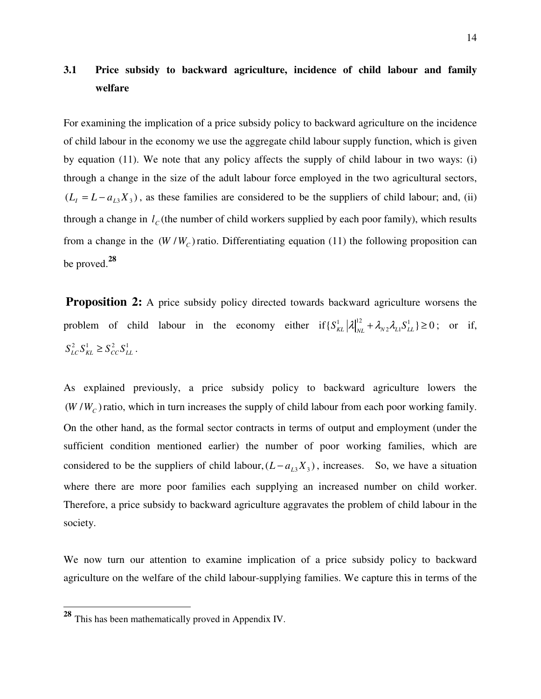# **3.1 Price subsidy to backward agriculture, incidence of child labour and family welfare**

For examining the implication of a price subsidy policy to backward agriculture on the incidence of child labour in the economy we use the aggregate child labour supply function, which is given by equation (11). We note that any policy affects the supply of child labour in two ways: (i) through a change in the size of the adult labour force employed in the two agricultural sectors,  $(L<sub>I</sub> = L - a<sub>L3</sub> X<sub>3</sub>)$ , as these families are considered to be the suppliers of child labour; and, (ii) through a change in  $l_c$  (the number of child workers supplied by each poor family), which results from a change in the  $(W/W_C)$  ratio. Differentiating equation (11) the following proposition can be proved.**<sup>28</sup>**

**Proposition 2:** A price subsidy policy directed towards backward agriculture worsens the problem of child labour in the economy either if  ${S_{KL}^1} |\lambda_{NL}^{12} + \lambda_{N2} \lambda_{L1} S_{LL}^1 \ge 0$ ; or if,  $S_{LC}^2 S_{KL}^1 \ge S_{CC}^2 S_{LL}^1$ .

As explained previously, a price subsidy policy to backward agriculture lowers the  $(W / W_c)$  ratio, which in turn increases the supply of child labour from each poor working family. On the other hand, as the formal sector contracts in terms of output and employment (under the sufficient condition mentioned earlier) the number of poor working families, which are considered to be the suppliers of child labour,  $(L - a_{L3}X_3)$ , increases. So, we have a situation where there are more poor families each supplying an increased number on child worker. Therefore, a price subsidy to backward agriculture aggravates the problem of child labour in the society.

We now turn our attention to examine implication of a price subsidy policy to backward agriculture on the welfare of the child labour-supplying families. We capture this in terms of the

**<sup>28</sup>** This has been mathematically proved in Appendix IV.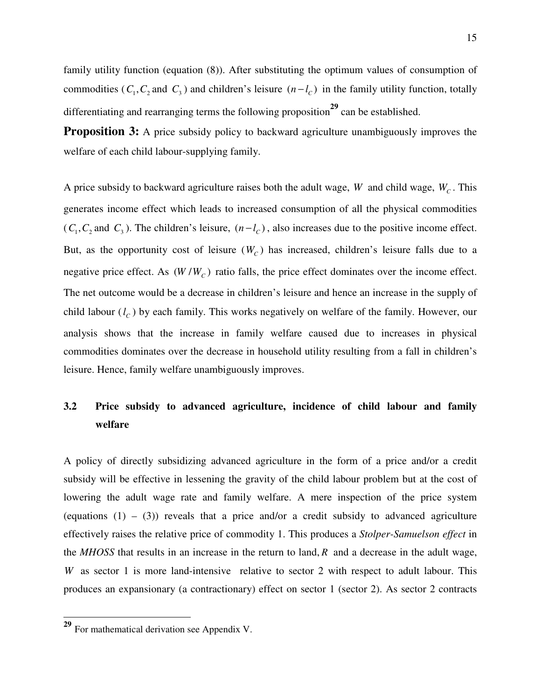family utility function (equation (8)). After substituting the optimum values of consumption of commodities ( $C_1$ ,  $C_2$  and  $C_3$ ) and children's leisure ( $n-l_c$ ) in the family utility function, totally differentiating and rearranging terms the following proposition**29** can be established.

**Proposition 3:** A price subsidy policy to backward agriculture unambiguously improves the welfare of each child labour-supplying family.

A price subsidy to backward agriculture raises both the adult wage, *W* and child wage,  $W_c$ . This generates income effect which leads to increased consumption of all the physical commodities  $(C_1, C_2$  and  $C_3$ ). The children's leisure,  $(n-l_c)$ , also increases due to the positive income effect. But, as the opportunity cost of leisure  $(W<sub>C</sub>)$  has increased, children's leisure falls due to a negative price effect. As  $(W / W_c)$  ratio falls, the price effect dominates over the income effect. The net outcome would be a decrease in children's leisure and hence an increase in the supply of child labour  $(l_c)$  by each family. This works negatively on welfare of the family. However, our analysis shows that the increase in family welfare caused due to increases in physical commodities dominates over the decrease in household utility resulting from a fall in children's leisure. Hence, family welfare unambiguously improves.

# **3.2 Price subsidy to advanced agriculture, incidence of child labour and family welfare**

A policy of directly subsidizing advanced agriculture in the form of a price and/or a credit subsidy will be effective in lessening the gravity of the child labour problem but at the cost of lowering the adult wage rate and family welfare. A mere inspection of the price system (equations  $(1)$  –  $(3)$ ) reveals that a price and/or a credit subsidy to advanced agriculture effectively raises the relative price of commodity 1. This produces a *Stolper-Samuelson effect* in the *MHOSS* that results in an increase in the return to land, *R* and a decrease in the adult wage, *W* as sector 1 is more land-intensive relative to sector 2 with respect to adult labour. This produces an expansionary (a contractionary) effect on sector 1 (sector 2). As sector 2 contracts

**<sup>29</sup>** For mathematical derivation see Appendix V.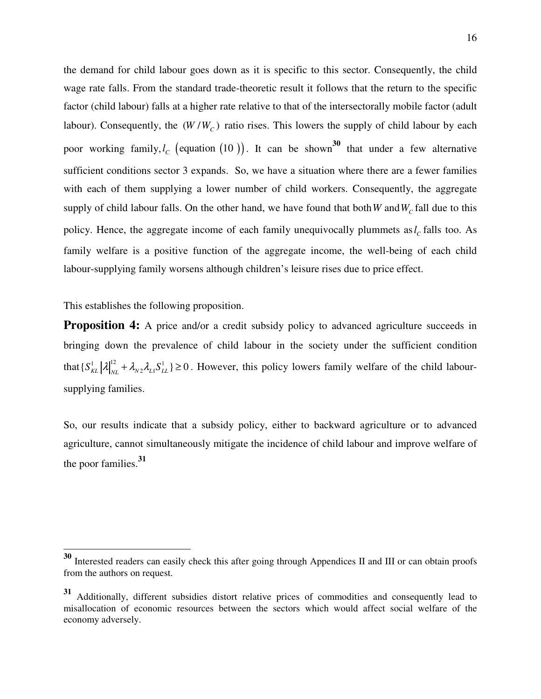the demand for child labour goes down as it is specific to this sector. Consequently, the child wage rate falls. From the standard trade-theoretic result it follows that the return to the specific factor (child labour) falls at a higher rate relative to that of the intersectorally mobile factor (adult labour). Consequently, the  $(W / W_c)$  ratio rises. This lowers the supply of child labour by each poor working family, $l_c$  (equation (10)). It can be shown<sup>30</sup> that under a few alternative sufficient conditions sector 3 expands. So, we have a situation where there are a fewer families with each of them supplying a lower number of child workers. Consequently, the aggregate supply of child labour falls. On the other hand, we have found that both  $W$  and  $W_c$  fall due to this policy. Hence, the aggregate income of each family unequivocally plummets as  $l_c$  falls too. As family welfare is a positive function of the aggregate income, the well-being of each child labour-supplying family worsens although children's leisure rises due to price effect.

This establishes the following proposition.

-

**Proposition 4:** A price and/or a credit subsidy policy to advanced agriculture succeeds in bringing down the prevalence of child labour in the society under the sufficient condition that  $\left\{ S_{KL}^1 | \lambda_{NL}^1 + \lambda_{N2} \lambda_{L1} S_{LL}^1 \right\} \ge 0$ . However, this policy lowers family welfare of the child laboursupplying families.

So, our results indicate that a subsidy policy, either to backward agriculture or to advanced agriculture, cannot simultaneously mitigate the incidence of child labour and improve welfare of the poor families.**<sup>31</sup>**

**<sup>30</sup>** Interested readers can easily check this after going through Appendices II and III or can obtain proofs from the authors on request.

**<sup>31</sup>** Additionally, different subsidies distort relative prices of commodities and consequently lead to misallocation of economic resources between the sectors which would affect social welfare of the economy adversely.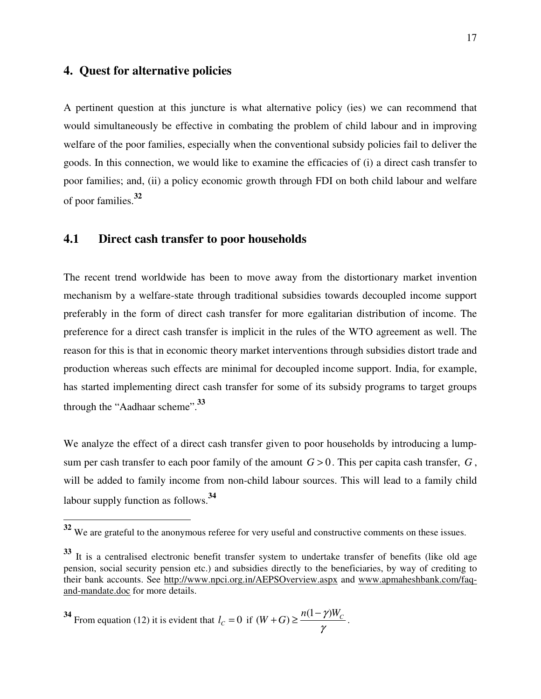# **4. Quest for alternative policies**

A pertinent question at this juncture is what alternative policy (ies) we can recommend that would simultaneously be effective in combating the problem of child labour and in improving welfare of the poor families, especially when the conventional subsidy policies fail to deliver the goods. In this connection, we would like to examine the efficacies of (i) a direct cash transfer to poor families; and, (ii) a policy economic growth through FDI on both child labour and welfare of poor families.**<sup>32</sup>**

## **4.1 Direct cash transfer to poor households**

The recent trend worldwide has been to move away from the distortionary market invention mechanism by a welfare-state through traditional subsidies towards decoupled income support preferably in the form of direct cash transfer for more egalitarian distribution of income. The preference for a direct cash transfer is implicit in the rules of the WTO agreement as well. The reason for this is that in economic theory market interventions through subsidies distort trade and production whereas such effects are minimal for decoupled income support. India, for example, has started implementing direct cash transfer for some of its subsidy programs to target groups through the "Aadhaar scheme".**<sup>33</sup>**

We analyze the effect of a direct cash transfer given to poor households by introducing a lumpsum per cash transfer to each poor family of the amount  $G > 0$ . This per capita cash transfer,  $G$ , will be added to family income from non-child labour sources. This will lead to a family child labour supply function as follows.**<sup>34</sup>**

**34** From equation (12) it is evident that  $l_c = 0$  if  $(W + G) \ge \frac{n(1 - \gamma)W_c}{N}$ γ  $+ G \geq \frac{n(1-\gamma)W_c}{\gamma}.$ 

**<sup>32</sup>** We are grateful to the anonymous referee for very useful and constructive comments on these issues.

**<sup>33</sup>** It is a centralised electronic benefit transfer system to undertake transfer of benefits (like old age pension, social security pension etc.) and subsidies directly to the beneficiaries, by way of crediting to their bank accounts. See http://www.npci.org.in/AEPSOverview.aspx and www.apmaheshbank.com/faqand-mandate.doc for more details.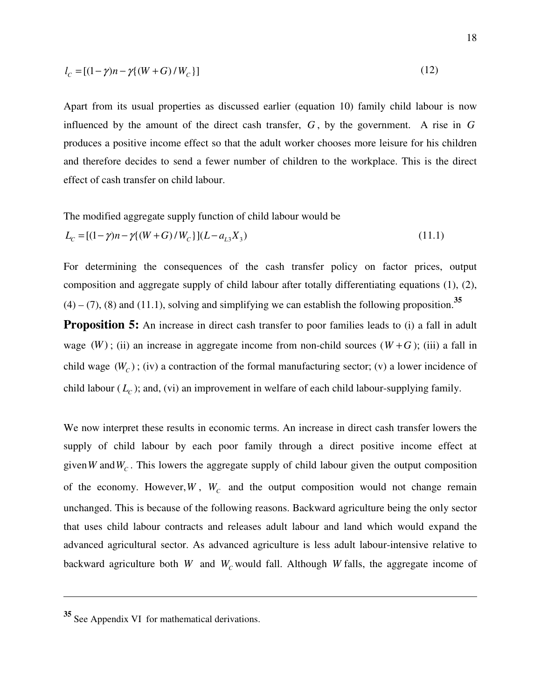$$
l_c = [(1 - \gamma)n - \gamma((W + G)/W_c)]
$$
\n(12)

Apart from its usual properties as discussed earlier (equation 10) family child labour is now influenced by the amount of the direct cash transfer, *G* , by the government. A rise in *G* produces a positive income effect so that the adult worker chooses more leisure for his children and therefore decides to send a fewer number of children to the workplace. This is the direct effect of cash transfer on child labour.

The modified aggregate supply function of child labour would be

$$
L_{c} = [(1 - \gamma)n - \gamma((W + G)/W_{c})](L - a_{L3}X_{3})
$$
\n(11.1)

For determining the consequences of the cash transfer policy on factor prices, output composition and aggregate supply of child labour after totally differentiating equations (1), (2),  $(4) - (7)$ ,  $(8)$  and  $(11.1)$ , solving and simplifying we can establish the following proposition.<sup>35</sup>

**Proposition 5:** An increase in direct cash transfer to poor families leads to (i) a fall in adult wage (*W*); (ii) an increase in aggregate income from non-child sources ( $W + G$ ); (iii) a fall in child wage  $(W_c)$ ; (iv) a contraction of the formal manufacturing sector; (v) a lower incidence of child labour ( *L<sup>C</sup>* ); and, (vi) an improvement in welfare of each child labour-supplying family.

We now interpret these results in economic terms. An increase in direct cash transfer lowers the supply of child labour by each poor family through a direct positive income effect at given *W* and  $W_c$ . This lowers the aggregate supply of child labour given the output composition of the economy. However,  $W$ ,  $W_c$  and the output composition would not change remain unchanged. This is because of the following reasons. Backward agriculture being the only sector that uses child labour contracts and releases adult labour and land which would expand the advanced agricultural sector. As advanced agriculture is less adult labour-intensive relative to backward agriculture both *W* and *W<sub>C</sub>* would fall. Although *W* falls, the aggregate income of

**<sup>35</sup>** See Appendix VI for mathematical derivations.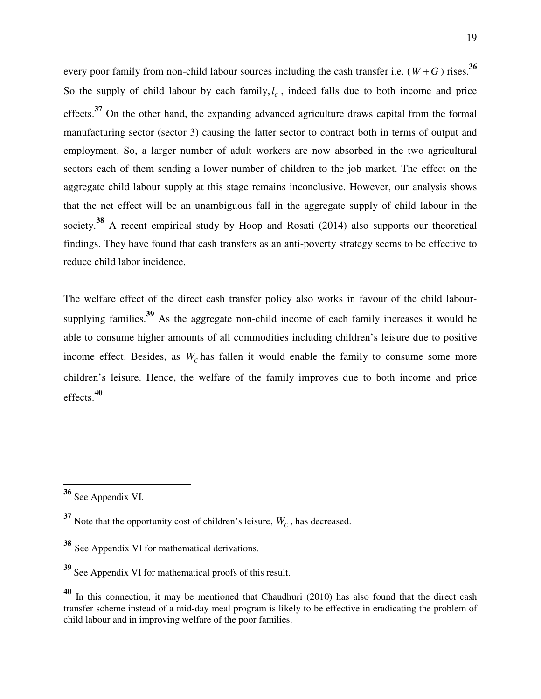every poor family from non-child labour sources including the cash transfer i.e. ( $W + G$ ) rises.<sup>36</sup> So the supply of child labour by each family,  $l_c$ , indeed falls due to both income and price effects.**37** On the other hand, the expanding advanced agriculture draws capital from the formal manufacturing sector (sector 3) causing the latter sector to contract both in terms of output and employment. So, a larger number of adult workers are now absorbed in the two agricultural sectors each of them sending a lower number of children to the job market. The effect on the aggregate child labour supply at this stage remains inconclusive. However, our analysis shows that the net effect will be an unambiguous fall in the aggregate supply of child labour in the society.**38** A recent empirical study by Hoop and Rosati (2014) also supports our theoretical findings. They have found that cash transfers as an anti-poverty strategy seems to be effective to reduce child labor incidence.

The welfare effect of the direct cash transfer policy also works in favour of the child laboursupplying families.<sup>39</sup> As the aggregate non-child income of each family increases it would be able to consume higher amounts of all commodities including children's leisure due to positive income effect. Besides, as  $W_c$  has fallen it would enable the family to consume some more children's leisure. Hence, the welfare of the family improves due to both income and price effects.**<sup>40</sup>**

**<sup>36</sup>** See Appendix VI.

<sup>&</sup>lt;sup>37</sup> Note that the opportunity cost of children's leisure,  $W_c$ , has decreased.

**<sup>38</sup>** See Appendix VI for mathematical derivations.

**<sup>39</sup>** See Appendix VI for mathematical proofs of this result.

**<sup>40</sup>** In this connection, it may be mentioned that Chaudhuri (2010) has also found that the direct cash transfer scheme instead of a mid-day meal program is likely to be effective in eradicating the problem of child labour and in improving welfare of the poor families.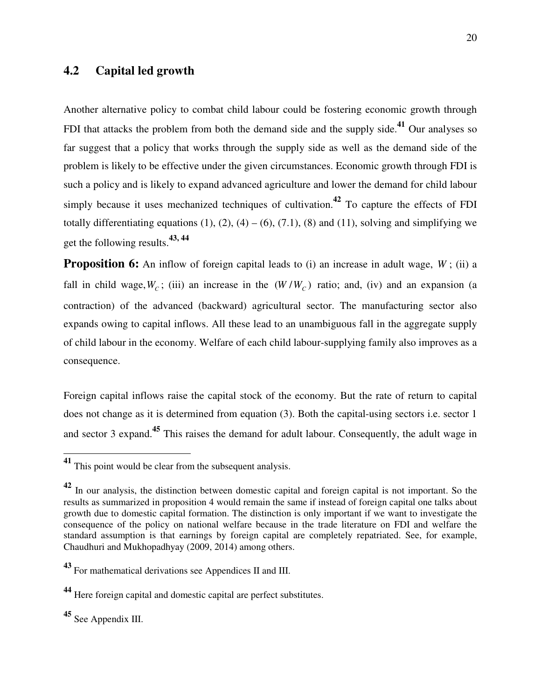# **4.2 Capital led growth**

Another alternative policy to combat child labour could be fostering economic growth through FDI that attacks the problem from both the demand side and the supply side.**41** Our analyses so far suggest that a policy that works through the supply side as well as the demand side of the problem is likely to be effective under the given circumstances. Economic growth through FDI is such a policy and is likely to expand advanced agriculture and lower the demand for child labour simply because it uses mechanized techniques of cultivation.**42** To capture the effects of FDI totally differentiating equations (1), (2), (4) – (6), (7.1), (8) and (11), solving and simplifying we get the following results.**43, 44**

**Proposition 6:** An inflow of foreign capital leads to (i) an increase in adult wage, *W*; (ii) a fall in child wage,  $W_c$ ; (iii) an increase in the  $(W/W_c)$  ratio; and, (iv) and an expansion (a contraction) of the advanced (backward) agricultural sector. The manufacturing sector also expands owing to capital inflows. All these lead to an unambiguous fall in the aggregate supply of child labour in the economy. Welfare of each child labour-supplying family also improves as a consequence.

Foreign capital inflows raise the capital stock of the economy. But the rate of return to capital does not change as it is determined from equation (3). Both the capital-using sectors i.e. sector 1 and sector 3 expand.**45** This raises the demand for adult labour. Consequently, the adult wage in

**<sup>41</sup>** This point would be clear from the subsequent analysis.

**<sup>42</sup>** In our analysis, the distinction between domestic capital and foreign capital is not important. So the results as summarized in proposition 4 would remain the same if instead of foreign capital one talks about growth due to domestic capital formation. The distinction is only important if we want to investigate the consequence of the policy on national welfare because in the trade literature on FDI and welfare the standard assumption is that earnings by foreign capital are completely repatriated. See, for example, Chaudhuri and Mukhopadhyay (2009, 2014) among others.

**<sup>43</sup>** For mathematical derivations see Appendices II and III.

**<sup>44</sup>** Here foreign capital and domestic capital are perfect substitutes.

**<sup>45</sup>** See Appendix III.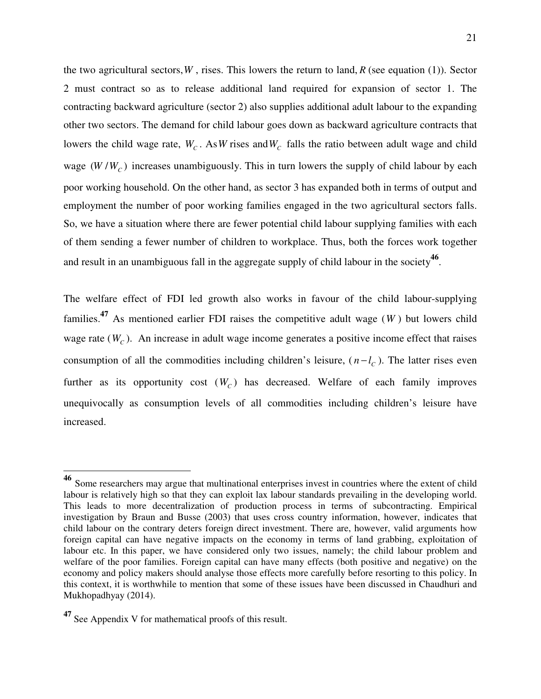the two agricultural sectors,  $W$ , rises. This lowers the return to land,  $R$  (see equation (1)). Sector 2 must contract so as to release additional land required for expansion of sector 1. The contracting backward agriculture (sector 2) also supplies additional adult labour to the expanding other two sectors. The demand for child labour goes down as backward agriculture contracts that lowers the child wage rate,  $W_c$ . As *W* rises and  $W_c$  falls the ratio between adult wage and child wage  $(W / W_c)$  increases unambiguously. This in turn lowers the supply of child labour by each poor working household. On the other hand, as sector 3 has expanded both in terms of output and employment the number of poor working families engaged in the two agricultural sectors falls. So, we have a situation where there are fewer potential child labour supplying families with each of them sending a fewer number of children to workplace. Thus, both the forces work together and result in an unambiguous fall in the aggregate supply of child labour in the society<sup>46</sup>.

The welfare effect of FDI led growth also works in favour of the child labour-supplying families.**47** As mentioned earlier FDI raises the competitive adult wage (*W* ) but lowers child wage rate  $(W<sub>C</sub>)$ . An increase in adult wage income generates a positive income effect that raises consumption of all the commodities including children's leisure,  $(n-l_c)$ . The latter rises even further as its opportunity cost  $(W<sub>C</sub>)$  has decreased. Welfare of each family improves unequivocally as consumption levels of all commodities including children's leisure have increased.

Some researchers may argue that multinational enterprises invest in countries where the extent of child labour is relatively high so that they can exploit lax labour standards prevailing in the developing world. This leads to more decentralization of production process in terms of subcontracting. Empirical investigation by Braun and Busse (2003) that uses cross country information, however, indicates that child labour on the contrary deters foreign direct investment. There are, however, valid arguments how foreign capital can have negative impacts on the economy in terms of land grabbing, exploitation of labour etc. In this paper, we have considered only two issues, namely; the child labour problem and welfare of the poor families. Foreign capital can have many effects (both positive and negative) on the economy and policy makers should analyse those effects more carefully before resorting to this policy. In this context, it is worthwhile to mention that some of these issues have been discussed in Chaudhuri and Mukhopadhyay (2014).

**<sup>47</sup>** See Appendix V for mathematical proofs of this result.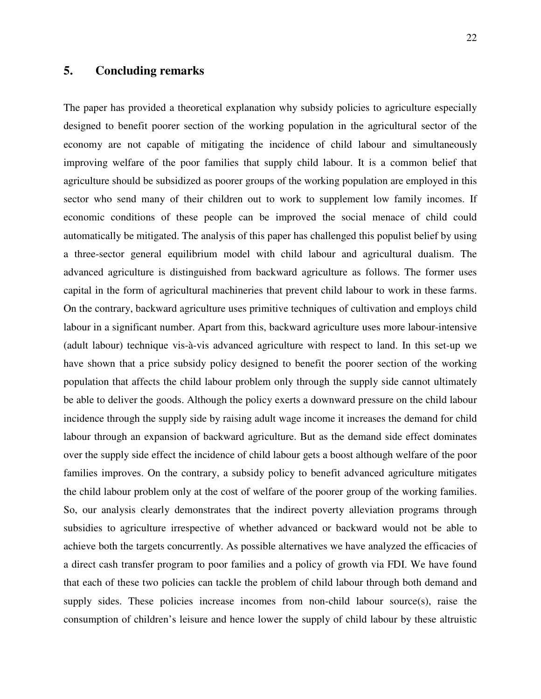# **5. Concluding remarks**

The paper has provided a theoretical explanation why subsidy policies to agriculture especially designed to benefit poorer section of the working population in the agricultural sector of the economy are not capable of mitigating the incidence of child labour and simultaneously improving welfare of the poor families that supply child labour. It is a common belief that agriculture should be subsidized as poorer groups of the working population are employed in this sector who send many of their children out to work to supplement low family incomes. If economic conditions of these people can be improved the social menace of child could automatically be mitigated. The analysis of this paper has challenged this populist belief by using a three-sector general equilibrium model with child labour and agricultural dualism. The advanced agriculture is distinguished from backward agriculture as follows. The former uses capital in the form of agricultural machineries that prevent child labour to work in these farms. On the contrary, backward agriculture uses primitive techniques of cultivation and employs child labour in a significant number. Apart from this, backward agriculture uses more labour-intensive (adult labour) technique vis-à-vis advanced agriculture with respect to land. In this set-up we have shown that a price subsidy policy designed to benefit the poorer section of the working population that affects the child labour problem only through the supply side cannot ultimately be able to deliver the goods. Although the policy exerts a downward pressure on the child labour incidence through the supply side by raising adult wage income it increases the demand for child labour through an expansion of backward agriculture. But as the demand side effect dominates over the supply side effect the incidence of child labour gets a boost although welfare of the poor families improves. On the contrary, a subsidy policy to benefit advanced agriculture mitigates the child labour problem only at the cost of welfare of the poorer group of the working families. So, our analysis clearly demonstrates that the indirect poverty alleviation programs through subsidies to agriculture irrespective of whether advanced or backward would not be able to achieve both the targets concurrently. As possible alternatives we have analyzed the efficacies of a direct cash transfer program to poor families and a policy of growth via FDI. We have found that each of these two policies can tackle the problem of child labour through both demand and supply sides. These policies increase incomes from non-child labour source(s), raise the consumption of children's leisure and hence lower the supply of child labour by these altruistic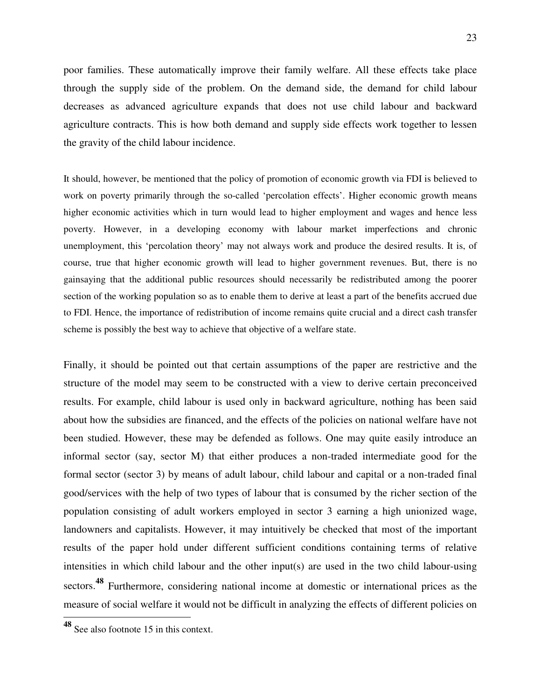poor families. These automatically improve their family welfare. All these effects take place through the supply side of the problem. On the demand side, the demand for child labour decreases as advanced agriculture expands that does not use child labour and backward agriculture contracts. This is how both demand and supply side effects work together to lessen the gravity of the child labour incidence.

It should, however, be mentioned that the policy of promotion of economic growth via FDI is believed to work on poverty primarily through the so-called 'percolation effects'. Higher economic growth means higher economic activities which in turn would lead to higher employment and wages and hence less poverty. However, in a developing economy with labour market imperfections and chronic unemployment, this 'percolation theory' may not always work and produce the desired results. It is, of course, true that higher economic growth will lead to higher government revenues. But, there is no gainsaying that the additional public resources should necessarily be redistributed among the poorer section of the working population so as to enable them to derive at least a part of the benefits accrued due to FDI. Hence, the importance of redistribution of income remains quite crucial and a direct cash transfer scheme is possibly the best way to achieve that objective of a welfare state.

Finally, it should be pointed out that certain assumptions of the paper are restrictive and the structure of the model may seem to be constructed with a view to derive certain preconceived results. For example, child labour is used only in backward agriculture, nothing has been said about how the subsidies are financed, and the effects of the policies on national welfare have not been studied. However, these may be defended as follows. One may quite easily introduce an informal sector (say, sector M) that either produces a non-traded intermediate good for the formal sector (sector 3) by means of adult labour, child labour and capital or a non-traded final good/services with the help of two types of labour that is consumed by the richer section of the population consisting of adult workers employed in sector 3 earning a high unionized wage, landowners and capitalists. However, it may intuitively be checked that most of the important results of the paper hold under different sufficient conditions containing terms of relative intensities in which child labour and the other input(s) are used in the two child labour-using sectors.<sup>48</sup> Furthermore, considering national income at domestic or international prices as the measure of social welfare it would not be difficult in analyzing the effects of different policies on

**<sup>48</sup>** See also footnote 15 in this context.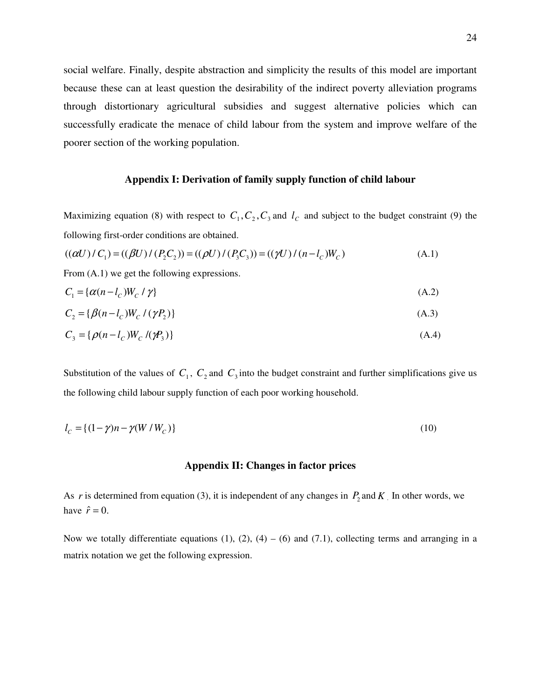social welfare. Finally, despite abstraction and simplicity the results of this model are important because these can at least question the desirability of the indirect poverty alleviation programs through distortionary agricultural subsidies and suggest alternative policies which can successfully eradicate the menace of child labour from the system and improve welfare of the poorer section of the working population.

#### **Appendix I: Derivation of family supply function of child labour**

Maximizing equation (8) with respect to  $C_1$ ,  $C_2$ ,  $C_3$  and  $l_c$  and subject to the budget constraint (9) the following first-order conditions are obtained.

$$
((\alpha U)/C_1) = ((\beta U)/ (P_2 C_2)) = ((\rho U)/ (P_3 C_3)) = ((\gamma U)/ (n - l_C) W_C)
$$
\n(A.1)

From  $(A.1)$  we get the following expressions.

$$
C_1 = \{ \alpha(n - l_c) W_c / \gamma \} \tag{A.2}
$$

$$
C_2 = \{\beta(n - l_c)W_c / (\gamma P_2)\}\tag{A.3}
$$

$$
C_3 = \{ \rho(n - l_c) W_c / (\mathcal{P}_3) \}
$$
 (A.4)

Substitution of the values of  $C_1$ ,  $C_2$  and  $C_3$  into the budget constraint and further simplifications give us the following child labour supply function of each poor working household.

$$
l_c = \{(1 - \gamma)n - \gamma(W/W_c)\}\tag{10}
$$

#### **Appendix II: Changes in factor prices**

As *r* is determined from equation (3), it is independent of any changes in  $P_2$  and  $K$ . In other words, we have  $\hat{r} = 0$ .

Now we totally differentiate equations (1), (2), (4) – (6) and (7.1), collecting terms and arranging in a matrix notation we get the following expression.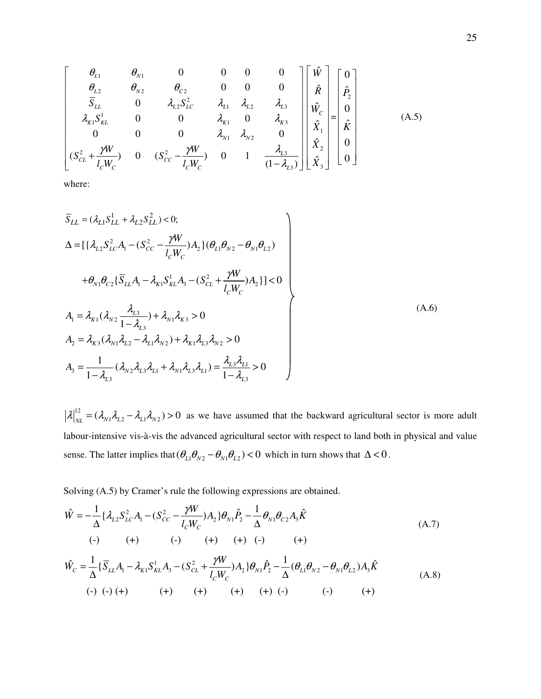$$
\begin{bmatrix}\n\theta_{L1} & \theta_{N1} & 0 & 0 & 0 & 0 \\
\theta_{L2} & \theta_{N2} & \theta_{C2} & 0 & 0 & 0 \\
\overline{S}_{L1} & 0 & \lambda_{L2} S_{LC}^2 & \lambda_{L1} & \lambda_{L2} & \lambda_{L3} \\
\lambda_{K1} S_{KL}^1 & 0 & 0 & \lambda_{K1} & 0 & \lambda_{K3} \\
0 & 0 & 0 & \lambda_{N1} & \lambda_{N2} & 0 \\
(S_{CL}^2 + \frac{\gamma W}{l_C W_C}) & 0 & (S_{CC}^2 - \frac{\gamma W}{l_C W_C}) & 0 & 1 & \frac{\lambda_{L3}}{(1 - \lambda_{L3})} \begin{bmatrix} \hat{W} \\ \hat{R} \\ \hat{K} \\ \hat{X}_1 \\ \hat{X}_2 \\ \hat{X}_3 \end{bmatrix} = \begin{bmatrix} 0 \\ \hat{P}_2 \\ 0 \\ \hat{K} \\ 0 \\ 0 \end{bmatrix}
$$
\n(A.5)

where:

$$
\overline{S}_{LL} = (\lambda_{L1} S_{LL}^1 + \lambda_{L2} S_{LL}^2) < 0;
$$
\n
$$
\Delta = [\{\lambda_{L2} S_{LC}^2 A_1 - (S_{CC}^2 - \frac{\gamma W}{l_C W_C}) A_2\} (\theta_{L1} \theta_{N2} - \theta_{N1} \theta_{L2})
$$
\n
$$
+ \theta_{N1} \theta_{C2} \{\overline{S}_{LL} A_1 - \lambda_{K1} S_{KL}^1 A_3 - (S_{CL}^2 + \frac{\gamma W}{l_C W_C}) A_2\}] < 0
$$
\n
$$
A_1 = \lambda_{K1} (\lambda_{N2} \frac{\lambda_{L3}}{1 - \lambda_{L3}}) + \lambda_{N1} \lambda_{K3} > 0
$$
\n
$$
A_2 = \lambda_{K3} (\lambda_{N1} \lambda_{L2} - \lambda_{L1} \lambda_{N2}) + \lambda_{K1} \lambda_{L3} \lambda_{N2} > 0
$$
\n
$$
A_3 = \frac{1}{1 - \lambda_{L3}} (\lambda_{N2} \lambda_{L3} \lambda_{L1} + \lambda_{N1} \lambda_{L3} \lambda_{L1}) = \frac{\lambda_{L3} \lambda_{L1}}{1 - \lambda_{L3}} > 0
$$
\n
$$
(A.6)
$$

 $\lambda \Big|_{NL}^{12} = (\lambda_{N1} \lambda_{L2} - \lambda_{L1} \lambda_{N2}) > 0$  as we have assumed that the backward agricultural sector is more adult labour-intensive vis-à-vis the advanced agricultural sector with respect to land both in physical and value sense. The latter implies that  $(\theta_{L1} \theta_{N2} - \theta_{N1} \theta_{L2}) < 0$  which in turn shows that  $\Delta < 0$ .

Solving (A.5) by Cramer's rule the following expressions are obtained.

$$
\hat{W} = -\frac{1}{\Delta} \{ \lambda_{L2} S_{LC}^2 A_1 - (S_{CC}^2 - \frac{\gamma W}{l_C W_C}) A_2 \} \theta_{N1} \hat{P}_2 - \frac{1}{\Delta} \theta_{N1} \theta_{C2} A_3 \hat{K}
$$
\n
$$
(A.7)
$$
\n
$$
(-)\qquad (+)\qquad (-)\qquad (+)\qquad (+)\qquad (-)\qquad (+)
$$

$$
\hat{W}_C = \frac{1}{\Delta} \{ \overline{S}_{LL} A_1 - \lambda_{K1} S_{KL}^1 A_3 - (S_{CL}^2 + \frac{\gamma W}{l_C W_C}) A_2 \} \theta_{N1} \hat{P}_2 - \frac{1}{\Delta} (\theta_{L1} \theta_{N2} - \theta_{N1} \theta_{L2}) A_3 \hat{K}
$$
\n
$$
(\text{-}) \text{ (-)} \text{ (+)} \qquad (\text{+)} \qquad (\text{+)} \qquad (\text{+)} \qquad (\text{-}) \qquad (\text{-)} \qquad (\text{-}) \qquad (\text{+)}
$$
\n(A.8)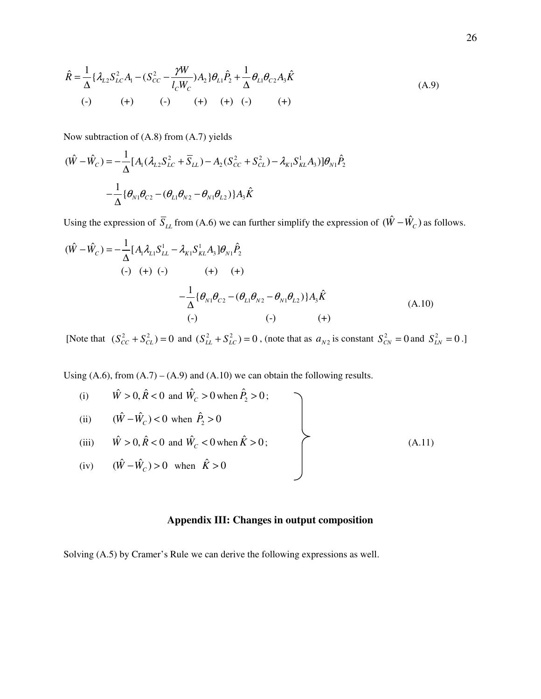$$
\hat{R} = \frac{1}{\Delta} \{ \lambda_{L2} S_{LC}^2 A_1 - (S_{CC}^2 - \frac{\gamma W}{l_C W_C}) A_2 \} \theta_{L1} \hat{P}_2 + \frac{1}{\Delta} \theta_{L1} \theta_{C2} A_3 \hat{K}
$$
\n
$$
\text{(A.9)}
$$
\n
$$
\text{(b)} \quad \text{(c)} \quad \text{(d)} \quad \text{(e)} \quad \text{(f)} \quad \text{(f)} \quad \text{(g)} \quad \text{(h)} \quad \text{(i)} \quad \text{(ii)}
$$

Now subtraction of (A.8) from (A.7) yields

$$
(\hat{W} - \hat{W}_C) = -\frac{1}{\Delta} [A_1 (\lambda_{L2} S_{LC}^2 + \overline{S}_{LL}) - A_2 (S_{CC}^2 + S_{CL}^2) - \lambda_{K1} S_{KL}^1 A_3)] \theta_{N1} \hat{P}_2
$$

$$
-\frac{1}{\Delta} {\theta_{N1} \theta_{C2} - (\theta_{L1} \theta_{N2} - \theta_{N1} \theta_{L2})} A_3 \hat{K}
$$

Using the expression of  $\overline{S}_{LL}$  from (A.6) we can further simplify the expression of  $(\hat{W} - \hat{W}_C)$  as follows.

$$
(\hat{W} - \hat{W}_C) = -\frac{1}{\Delta} [A_1 \lambda_{L1} S_{LL}^1 - \lambda_{K1} S_{KL}^1 A_3] \theta_{N1} \hat{P}_2
$$
  
\n(-) (+) (-) (+) (+) (+)  
\n
$$
-\frac{1}{\Delta} {\theta_{N1} \theta_{C2} - (\theta_{L1} \theta_{N2} - \theta_{N1} \theta_{L2})} A_3 \hat{K}
$$
  
\n(-) (-) (+)

[Note that  $(S_{cc}^2 + S_{CL}^2) = 0$  and  $(S_{LL}^2 + S_{LC}^2) = 0$ , (note that as  $a_{N2}$  is constant  $S_{CN}^2 = 0$  and  $S_{LN}^2 = 0$ .]

Using  $(A.6)$ , from  $(A.7) - (A.9)$  and  $(A.10)$  we can obtain the following results.

(i) 
$$
\hat{W} > 0, \hat{R} < 0
$$
 and  $\hat{W}_c > 0$  when  $\hat{P}_2 > 0$ ;  
\n(ii)  $(\hat{W} - \hat{W}_c) < 0$  when  $\hat{P}_2 > 0$   
\n(iii)  $\hat{W} > 0, \hat{R} < 0$  and  $\hat{W}_c < 0$  when  $\hat{K} > 0$ ;  
\n(iv)  $(\hat{W} - \hat{W}_c) > 0$  when  $\hat{K} > 0$  (A.11)

## **Appendix III: Changes in output composition**

Solving (A.5) by Cramer's Rule we can derive the following expressions as well.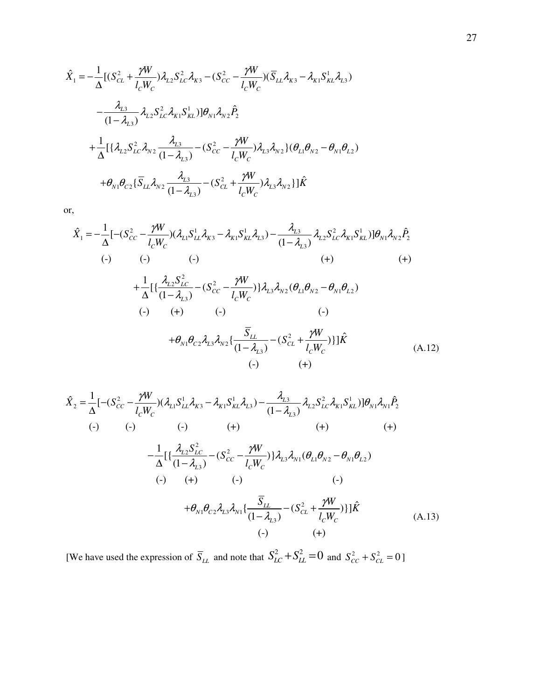$$
\hat{X}_{1} = -\frac{1}{\Delta} [(S_{CL}^{2} + \frac{\gamma W}{l_{C}W_{C}}) \lambda_{L2} S_{LC}^{2} \lambda_{K3} - (S_{CC}^{2} - \frac{\gamma W}{l_{C}W_{C}}) (\overline{S}_{LL} \lambda_{K3} - \lambda_{K1} S_{KL}^{1} \lambda_{L3})
$$
\n
$$
- \frac{\lambda_{L3}}{(1 - \lambda_{L3})} \lambda_{L2} S_{LC}^{2} \lambda_{K1} S_{KL}^{1}) ]\theta_{N1} \lambda_{N2} \hat{P}_{2}
$$
\n
$$
+ \frac{1}{\Delta} [ \{\lambda_{L2} S_{LC}^{2} \lambda_{N2} \frac{\lambda_{L3}}{(1 - \lambda_{L3})} - (S_{CC}^{2} - \frac{\gamma W}{l_{C}W_{C}}) \lambda_{L3} \lambda_{N2} \} (\theta_{L1} \theta_{N2} - \theta_{N1} \theta_{L2})
$$
\n
$$
+ \theta_{N1} \theta_{C2} \{ \overline{S}_{LL} \lambda_{N2} \frac{\lambda_{L3}}{(1 - \lambda_{L3})} - (S_{CL}^{2} + \frac{\gamma W}{l_{C}W_{C}}) \lambda_{L3} \lambda_{N2} \} ]\hat{K}
$$

or,

$$
\hat{X}_1 = -\frac{1}{\Delta} \left[ -(S_{CC}^2 - \frac{\gamma W}{l_C W_C})(\lambda_{L1} S_{LL}^1 \lambda_{K3} - \lambda_{K1} S_{KL}^1 \lambda_{L3}) - \frac{\lambda_{L3}}{(1 - \lambda_{L3})} \lambda_{L2} S_{LC}^2 \lambda_{K1} S_{KL}^1) \right] \theta_{N1} \lambda_{N2} \hat{P}_2
$$
\n
$$
(-) \qquad (-) \qquad (-) \qquad (+) \qquad (+) \qquad (+)
$$
\n
$$
+ \frac{1}{\Delta} \left[ \left\{ \frac{\lambda_{L2} S_{LC}^2}{(1 - \lambda_{L3})} - (S_{CC}^2 - \frac{\gamma W}{l_C W_C}) \right\} \lambda_{L3} \lambda_{N2} (\theta_{L1} \theta_{N2} - \theta_{N1} \theta_{L2}) - \left( - \right) \qquad (+) \qquad (-) \qquad (-) \qquad (-)
$$
\n
$$
+ \theta_{N1} \theta_{C2} \lambda_{L3} \lambda_{N2} \left\{ \frac{\overline{S}_{LL}}{(1 - \lambda_{L3})} - (S_{CL}^2 + \frac{\gamma W}{l_C W_C}) \right\} \right] \hat{K}
$$
\n
$$
(-) \qquad (+) \qquad (-) \qquad (+)
$$

2 1 1 2 1 3 2 1 3 1 3 2 1 1 1 2 3 1 ˆ ˆ [ ( )( ) )] (1 ) (-) (-) (-) (+) (+) (+) *L CC L LL K K KL L L LC K KL N N C C L W X S S S S S P l W* γ λ λ λ λ λ λ λ <sup>θ</sup> λ λ = − − − − ∆ − 2 2 2 3 1 1 2 1 2 3 1 [{ ( )} ( ) (1 ) (-) (+) (-) (-) *L LC CC L N L N N L L C C S W S l W* λ γ λ λ <sup>θ</sup> <sup>θ</sup> <sup>θ</sup> <sup>θ</sup> λ − − − − ∆ − 2 1 2 3 1 3 ˆ { ( )}] (1 ) (-) (+) *LL N C L N CL L C C S W S K l W* γ <sup>θ</sup> <sup>θ</sup> λ λ λ + − + − (A.13)

[We have used the expression of  $\overline{S}_{LL}$  and note that  $S_{LC}^2 + S_{LL}^2 = 0$  and  $S_{CC}^2 + S_{CL}^2 = 0$ ]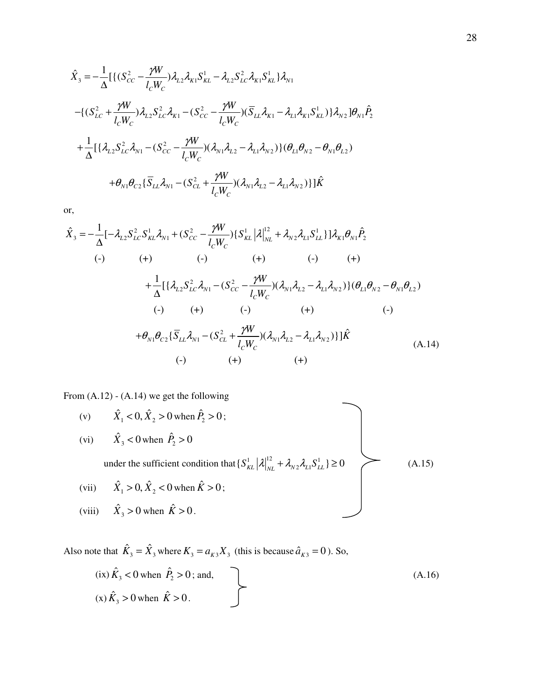$$
\hat{X}_{3} = -\frac{1}{\Delta} [\{ (S_{cc}^{2} - \frac{\gamma W}{l_{c}W_{c}}) \lambda_{L2} \lambda_{K1} S_{KL}^{1} - \lambda_{L2} S_{LC}^{2} \lambda_{K1} S_{KL}^{1} \} \lambda_{N1} \n- \{ (S_{LC}^{2} + \frac{\gamma W}{l_{c}W_{c}}) \lambda_{L2} S_{LC}^{2} \lambda_{K1} - (S_{CC}^{2} - \frac{\gamma W}{l_{c}W_{c}}) (\overline{S}_{LL} \lambda_{K1} - \lambda_{L1} \lambda_{K1} S_{KL}^{1}) \} \lambda_{N2} ] \theta_{N1} \hat{P}_{2} \n+ \frac{1}{\Delta} [\{ \lambda_{L2} S_{LC}^{2} \lambda_{N1} - (S_{CC}^{2} - \frac{\gamma W}{l_{c}W_{c}}) (\lambda_{N1} \lambda_{L2} - \lambda_{L1} \lambda_{N2}) \} (\theta_{L1} \theta_{N2} - \theta_{N1} \theta_{L2}) \n+ \theta_{N1} \theta_{C2} \{ \overline{S}_{LL} \lambda_{N1} - (S_{CL}^{2} + \frac{\gamma W}{l_{c}W_{c}}) (\lambda_{N1} \lambda_{L2} - \lambda_{L1} \lambda_{N2}) \} ] \hat{K}
$$

or,

$$
\hat{X}_{3} = -\frac{1}{\Delta} [-\lambda_{L2} S_{LC}^{2} S_{KL}^{1} \lambda_{N1} + (S_{CC}^{2} - \frac{\gamma W}{l_{C}W_{C}}) \{S_{KL}^{1} | \lambda_{NL}^{12} + \lambda_{N2} \lambda_{L1} S_{LL}^{1} \}] \lambda_{K1} \theta_{N1} \hat{P}_{2}
$$
\n
$$
(+) \qquad (-) \qquad (+) \qquad (-) \qquad (+)
$$
\n
$$
+ \frac{1}{\Delta} [\{ \lambda_{L2} S_{LC}^{2} \lambda_{N1} - (S_{CC}^{2} - \frac{\gamma W}{l_{C}W_{C}}) (\lambda_{N1} \lambda_{L2} - \lambda_{L1} \lambda_{N2}) \} (\theta_{L1} \theta_{N2} - \theta_{N1} \theta_{L2})
$$
\n
$$
(-) \qquad (+) \qquad (-) \qquad (+) \qquad (-)
$$
\n
$$
+ \theta_{N1} \theta_{C2} \{ \overline{S}_{LL} \lambda_{N1} - (S_{CL}^{2} + \frac{\gamma W}{l_{C}W_{C}}) (\lambda_{N1} \lambda_{L2} - \lambda_{L1} \lambda_{N2}) \}] \hat{K}
$$
\n
$$
(-) \qquad (+) \qquad (+) \qquad (+)
$$

From (A.12) - (A.14) we get the following

(v) 
$$
\hat{X}_1 < 0
$$
,  $\hat{X}_2 > 0$  when  $\hat{P}_2 > 0$ ;  
\n(vi)  $\hat{X}_3 < 0$  when  $\hat{P}_2 > 0$   
\nunder the sufficient condition that  $\{S_{KL}^1 | \lambda \|_{NL}^{12} + \lambda_{N2} \lambda_{L1} S_{LL}^1\} \ge 0$   
\n(vii)  $\hat{X}_1 > 0$ ,  $\hat{X}_2 < 0$  when  $\hat{K} > 0$ ;  
\n(viii)  $\hat{X}_3 > 0$  when  $\hat{K} > 0$ .

Also note that  $\hat{K}_3 = \hat{X}_3$  where  $K_3 = a_{K3}X_3$  (this is because  $\hat{a}_{K3} = 0$ ). So,

(ix) 
$$
\hat{K}_3 < 0
$$
 when  $\hat{P}_2 > 0$ ; and,  
\n(x)  $\hat{K}_3 > 0$  when  $\hat{K} > 0$ . (A.16)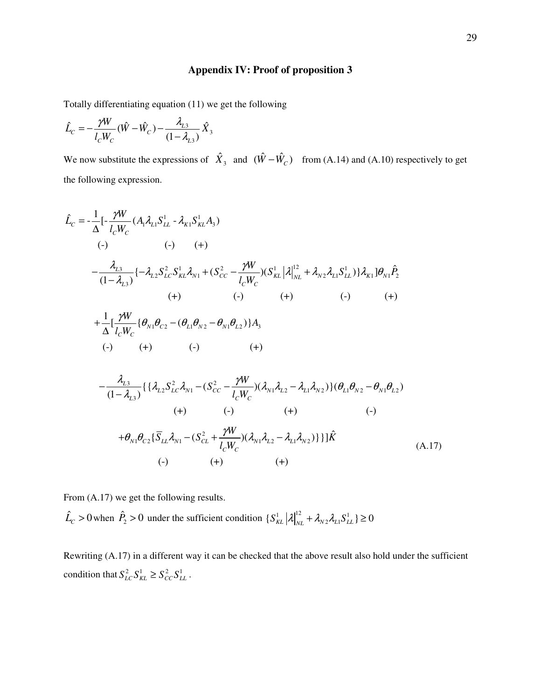#### **Appendix IV: Proof of proposition 3**

Totally differentiating equation (11) we get the following

$$
\hat{L}_C = -\frac{\gamma W}{l_c W_C} (\hat{W} - \hat{W}_C) - \frac{\lambda_{L3}}{(1 - \lambda_{L3})} \hat{X}_3
$$

We now substitute the expressions of  $\hat{X}_3$  and  $(\hat{W} - \hat{W}_c)$  from (A.14) and (A.10) respectively to get the following expression.

$$
\hat{L}_{c} = -\frac{1}{\Delta} \left[ -\frac{\gamma W}{l_{c}W_{c}} (A_{1}A_{L1}S_{LL}^{1} - \lambda_{K1}S_{KL}^{1} A_{3}) \right]
$$
\n
$$
(-) \qquad (+)
$$
\n
$$
-\frac{\lambda_{L3}}{(1-\lambda_{L3})} \left\{ -\lambda_{L2}S_{LC}^{2}S_{KL}^{1} \lambda_{N1} + (S_{CC}^{2} - \frac{\gamma W}{l_{c}W_{c}}) (S_{KL}^{1} |\lambda|_{NL}^{12} + \lambda_{N2} \lambda_{L1}S_{LL}^{1}) \right\} \lambda_{K1} |\theta_{N1}\hat{P}_{2} \right\}
$$
\n
$$
(+) \qquad (-) \qquad (+) \qquad (-) \qquad (+)
$$
\n
$$
+\frac{1}{\Delta} \left[ \frac{\gamma W}{l_{c}W_{c}} \{ \theta_{N1}\theta_{c2} - (\theta_{L1}\theta_{N2} - \theta_{N1}\theta_{L2}) \} A_{3} \right]
$$
\n
$$
(-) \qquad (+) \qquad (-) \qquad (+)
$$
\n
$$
-\frac{\lambda_{L3}}{(1-\lambda_{L3})} \{ \{ \lambda_{L2}S_{LC}^{2} \lambda_{N1} - (S_{CC}^{2} - \frac{\gamma W}{l_{c}W_{c}}) (\lambda_{N1}\lambda_{L2} - \lambda_{L1}\lambda_{N2}) \} (\theta_{L1}\theta_{N2} - \theta_{N1}\theta_{L2}) \right.
$$
\n
$$
(+) \qquad (-) \qquad (+) \qquad (-)
$$
\n
$$
+ \theta_{N1}\theta_{C2} \{ \overline{S}_{LL}\lambda_{N1} - (S_{CC}^{2} + \frac{\gamma W}{l_{c}W_{c}}) (\lambda_{N1}\lambda_{L2} - \lambda_{L1}\lambda_{N2}) \} ] \} \hat{K}
$$
\n
$$
(-) \qquad (+) \qquad (+)
$$
\n
$$
(-) \qquad (+) \qquad (+)
$$
\n
$$
(-) \qquad (+) \qquad (+)
$$
\n
$$
(-) \qquad (+) \qquad (+)
$$
\n
$$
(-) \qquad (+) \qquad (+)
$$
\n
$$
(-) \qquad (+) \qquad (+)
$$
\n
$$
(-) \qquad (+)
$$

From (A.17) we get the following results.

 $\hat{L}_C > 0$  when  $\hat{P}_2 > 0$  under the sufficient condition  $\{S_{KL}^1 | \lambda_{NL}^{12} + \lambda_{N2} \lambda_{L1} S_{LL}^1\} \ge 0$ 

Rewriting (A.17) in a different way it can be checked that the above result also hold under the sufficient condition that  $S_{LC}^2 S_{KL}^1 \geq S_{CC}^2 S_{LL}^1$ .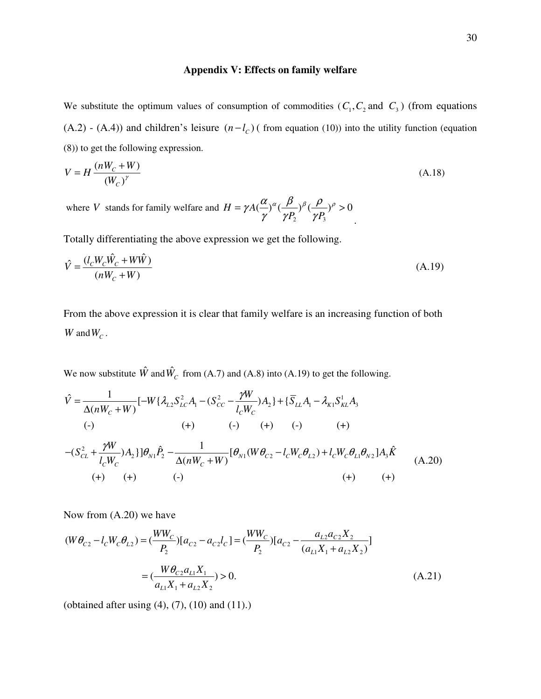#### **Appendix V: Effects on family welfare**

We substitute the optimum values of consumption of commodities  $(C_1, C_2 \text{ and } C_3)$  (from equations  $(A.2) - (A.4)$  and children's leisure  $(n - l_c)$  (from equation (10)) into the utility function (equation (8)) to get the following expression.

.

$$
V = H \frac{(nW_c + W)}{(W_c)^{\gamma}}
$$
\n(A.18)

 where *V* stands for family welfare and 2  $1^2$  3  $H = \gamma A(\frac{\omega}{\rho})^{\alpha} (\frac{\rho}{\rho})^{\beta} (\frac{\rho}{\rho})^{\rho} > 0$  $P_2$   $\gamma P_3$  $\gamma A(\frac{\alpha}{\gamma})^{\alpha}(\frac{\beta}{\gamma P_2})^{\beta}(\frac{\rho}{\gamma P_3})^{\rho}$  $=\gamma A(\frac{\mu}{\rho})^{\alpha}(\frac{\rho}{\rho})^{\beta}(\frac{\rho}{\rho})^{\rho}>$ 

Totally differentiating the above expression we get the following.

$$
\hat{V} = \frac{(l_c W_c \hat{W}_c + W \hat{W})}{(nW_c + W)}
$$
\n(A.19)

From the above expression it is clear that family welfare is an increasing function of both *W* and  $W_c$ .

We now substitute  $\hat{W}$  and  $\hat{W}_C$  from (A.7) and (A.8) into (A.19) to get the following.

$$
\hat{V} = \frac{1}{\Delta(nW_c + W)} [-W\{\lambda_{L2}S_{LC}^2A_1 - (S_{CC}^2 - \frac{\gamma W}{l_cW_c})A_2\} + \{\overline{S}_{LL}A_1 - \lambda_{K1}S_{KL}^1A_3
$$
\n
$$
+ \qquad (-) \qquad (+) \qquad (-) \qquad (+) \qquad (-) \qquad (+)
$$
\n
$$
-(S_{CL}^2 + \frac{\gamma W}{l_cW_c})A_2\}]\theta_{N1}\hat{P}_2 - \frac{1}{\Delta(nW_c + W)}[\theta_{N1}(W\theta_{C2} - l_cW_c\theta_{L2}) + l_cW_c\theta_{L1}\theta_{N2}]A_3\hat{K}
$$
\n
$$
+ \qquad (+) \qquad (-) \qquad (+) \qquad (-) \qquad (+) \qquad (+)
$$
\n
$$
(+) \qquad (+)
$$

Now from (A.20) we have

$$
(W\theta_{C2} - l_C W_C \theta_{L2}) = \left(\frac{WW_C}{P_2}\right)[a_{C2} - a_{C2}l_C] = \left(\frac{WW_C}{P_2}\right)[a_{C2} - \frac{a_{L2}a_{C2}X_2}{(a_{L1}X_1 + a_{L2}X_2)}]
$$

$$
= \left(\frac{W\theta_{C2}a_{L1}X_1}{a_{L1}X_1 + a_{L2}X_2}\right) > 0.
$$
(A.21)

(obtained after using (4), (7), (10) and (11).)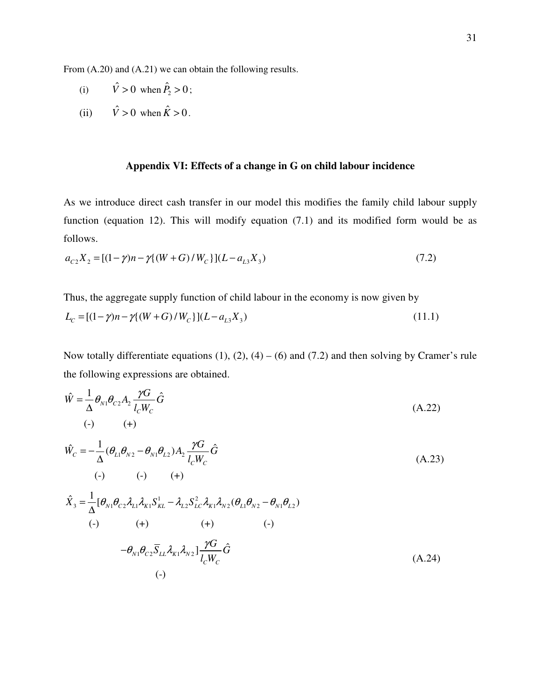From (A.20) and (A.21) we can obtain the following results.

- (i)  $\hat{V} > 0$  when  $\hat{P}_2 > 0$ ;
- (ii)  $\hat{V} > 0$  when  $\hat{K} > 0$ .

#### **Appendix VI: Effects of a change in G on child labour incidence**

As we introduce direct cash transfer in our model this modifies the family child labour supply function (equation 12). This will modify equation (7.1) and its modified form would be as follows.

$$
a_{C2}X_2 = [(1 - \gamma)n - \gamma((W + G)/W_C)](L - a_{L3}X_3)
$$
\n(7.2)

Thus, the aggregate supply function of child labour in the economy is now given by  $L_c = [(1 - \gamma)n - \gamma((W + G)/W_c)](L - a_{L3}X_3)$  (11.1)

Now totally differentiate equations (1), (2), (4) – (6) and (7.2) and then solving by Cramer's rule the following expressions are obtained.

$$
\hat{W} = \frac{1}{\Delta} \theta_{N1} \theta_{c2} A_2 \frac{\gamma G}{l_c W_c} \hat{G}
$$
\n
$$
(\cdot) \qquad (*)
$$
\n
$$
\hat{W}_c = -\frac{1}{\Delta} (\theta_{L1} \theta_{N2} - \theta_{N1} \theta_{L2}) A_2 \frac{\gamma G}{l_c W_c} \hat{G}
$$
\n
$$
(\cdot) \qquad (-) \qquad (+)
$$
\n
$$
\hat{X}_3 = \frac{1}{\Delta} [\theta_{N1} \theta_{c2} \lambda_{L1} \lambda_{K1} S_{KL}^1 - \lambda_{L2} S_{LC}^2 \lambda_{K1} \lambda_{N2} (\theta_{L1} \theta_{N2} - \theta_{N1} \theta_{L2})
$$
\n
$$
(\cdot) \qquad (+) \qquad (+) \qquad (-)
$$
\n
$$
-\theta_{N1} \theta_{c2} \overline{S}_{LL} \lambda_{K1} \lambda_{N2} \frac{\gamma G}{l_c W_c} \hat{G}
$$
\n
$$
(A.24)
$$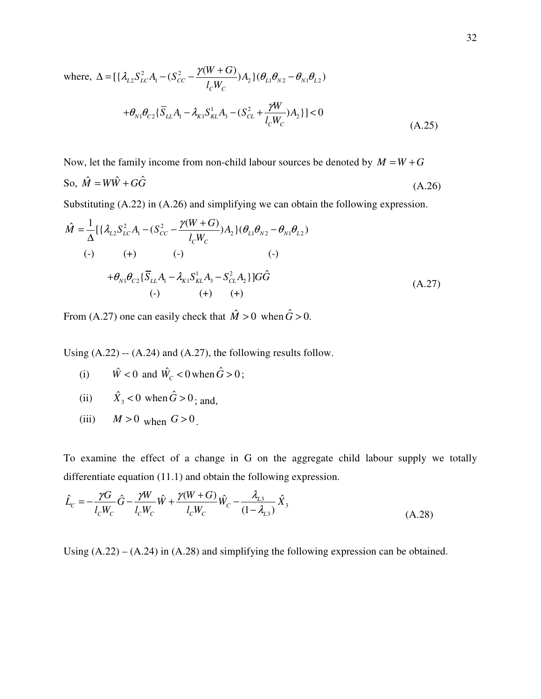where, 
$$
\Delta = [\{\lambda_{L2} S_{LC}^2 A_1 - (S_{CC}^2 - \frac{\gamma (W + G)}{l_C W_C}) A_2\} (\theta_{L1} \theta_{N2} - \theta_{N1} \theta_{L2})
$$

$$
+ \theta_{N1} \theta_{C2} \{\overline{S}_{LL} A_1 - \lambda_{K1} S_{KL}^1 A_3 - (S_{CL}^2 + \frac{\gamma W}{l_C W_C}) A_2\}] < 0
$$
(A.25)

Now, let the family income from non-child labour sources be denoted by  $M = W + G$ So,  $\hat{M} = W\hat{W} + G\hat{G}$  (A.26)

Substituting (A.22) in (A.26) and simplifying we can obtain the following expression.

$$
\hat{M} = \frac{1}{\Delta} [\{\lambda_{L2} S_{LC}^2 A_1 - (S_{CC}^2 - \frac{\gamma (W + G)}{l_C W_C}) A_2\} (\theta_{L1} \theta_{N2} - \theta_{N1} \theta_{L2})
$$
\n
$$
+ \theta_{N1} \theta_{C2} {\{\overline{S}_{LL} A_1 - \lambda_{K1} S_{KL}^1 A_3 - S_{CL}^2 A_2\}} G
$$
\n
$$
+ O_{N1} (\theta_{C2} \{\overline{S}_{LL} A_1 - \lambda_{K1} S_{KL}^1 A_3 - S_{CL}^2 A_2\}) G \hat{G}
$$
\n
$$
+ O_{N1} (\theta_{C2} \{\overline{S}_{LL} A_1 - \lambda_{K1} S_{KL}^1 A_3 - S_{CL}^2 A_2\}) G \hat{G}
$$
\n
$$
+ O_{N1} (\theta_{C2} \{\overline{S}_{LL} A_1 - \lambda_{K1} S_{KL}^1 A_3 - S_{CL}^2 A_2\}) G \hat{G}
$$
\n
$$
+ O_{N1} (\theta_{C2} \{\overline{S}_{LL} A_1 - \lambda_{K1} S_{KL}^1 A_3 - S_{CL}^2 A_2\}) G \hat{G}
$$
\n
$$
+ O_{N1} (\theta_{C2} \{\overline{S}_{LL} A_1 - \lambda_{K1} S_{KL}^1 A_3 - S_{CL}^2 A_2\}) G \hat{G}
$$
\n
$$
+ O_{N1} (\theta_{C2} \{\overline{S}_{LL} A_1 - \lambda_{K1} S_{KL}^1 A_3 - S_{CL}^2 A_2\}) G \hat{G}
$$
\n
$$
+ O_{N1} (\theta_{C2} \{\overline{S}_{LL} A_1 - \lambda_{K1} S_{KL}^1 A_3 - S_{CL}^2 A_2\}) G \hat{G}
$$
\n
$$
+ O_{N1} (\theta_{C2} \{\overline{S}_{LL} A_1 - \lambda_{K1} S_{KL}^1 A_3 - S_{CL}^2 A_2\}) G \hat{G}
$$

From (A.27) one can easily check that  $\hat{M} > 0$  when  $\hat{G} > 0$ .

Using  $(A.22)$  --  $(A.24)$  and  $(A.27)$ , the following results follow.

- (i)  $\hat{W} < 0$  and  $\hat{W}_c < 0$  when  $\hat{G} > 0$ ;
- (ii)  $\hat{X}_3 < 0$  when  $\hat{G} > 0$ ; and,
- (iii)  $M > 0$  when  $G > 0$ .

To examine the effect of a change in G on the aggregate child labour supply we totally differentiate equation (11.1) and obtain the following expression.

$$
\hat{L}_C = -\frac{\gamma G}{l_C W_C} \hat{G} - \frac{\gamma W}{l_C W_C} \hat{W} + \frac{\gamma (W + G)}{l_C W_C} \hat{W}_C - \frac{\lambda_{L3}}{(1 - \lambda_{L3})} \hat{X}_3
$$
\n(A.28)

Using (A.22) – (A.24) in (A.28) and simplifying the following expression can be obtained.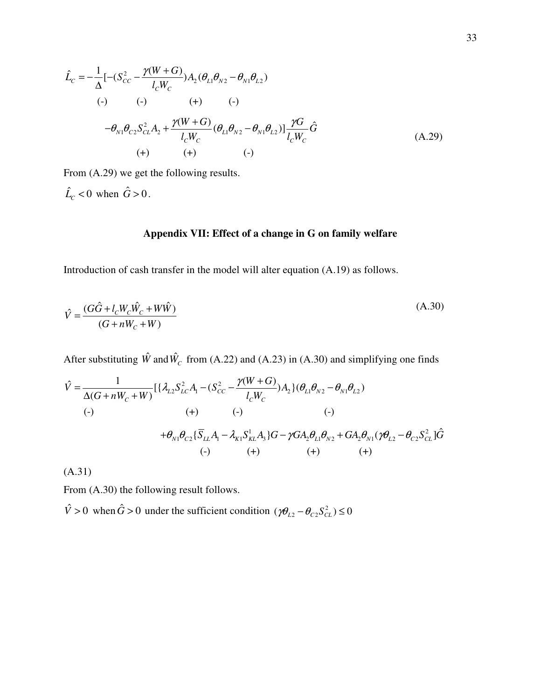$$
\hat{L}_C = -\frac{1}{\Delta} \left[ -(S_{CC}^2 - \frac{\gamma (W + G)}{l_C W_C}) A_2 (\theta_{L1} \theta_{N2} - \theta_{N1} \theta_{L2}) \right]
$$
\n
$$
(-) \qquad (-) \qquad (+) \qquad (-)
$$
\n
$$
-\theta_{N1} \theta_{C2} S_{CL}^2 A_2 + \frac{\gamma (W + G)}{l_C W_C} (\theta_{L1} \theta_{N2} - \theta_{N1} \theta_{L2}) \right] \frac{\gamma G}{l_C W_C} \hat{G}
$$
\n
$$
(+) \qquad (+) \qquad (-)
$$
\n(A.29)

From (A.29) we get the following results.

 $\hat{L}_C$  < 0 when  $\hat{G} > 0$ .

## **Appendix VII: Effect of a change in G on family welfare**

Introduction of cash transfer in the model will alter equation (A.19) as follows.

$$
\hat{V} = \frac{(G\hat{G} + l_c W_c \hat{W}_c + W \hat{W})}{(G + nW_c + W)}
$$
\n(A.30)

After substituting  $\hat{W}$  and  $\hat{W}_c$  from (A.22) and (A.23) in (A.30) and simplifying one finds

$$
\hat{V} = \frac{1}{\Delta(G + nW_c + W)} [\{\lambda_{L2} S_{LC}^2 A_1 - (S_{CC}^2 - \frac{\gamma(W + G)}{l_c W_C}) A_2\} (\theta_{L1} \theta_{N2} - \theta_{N1} \theta_{L2})
$$
\n
$$
+ \theta_{N1} \theta_{C2} \{\overline{S}_{LL} A_1 - \lambda_{K1} S_{KL}^1 A_3\} G - \gamma G A_2 \theta_{L1} \theta_{N2} + G A_2 \theta_{N1} (\gamma \theta_{L2} - \theta_{C2} S_{CL}^2] \hat{G}
$$
\n
$$
+ O_{N1} (\theta_{C1} - \theta_{C2} S_{CL}^2) G
$$
\n
$$
+ O_{N1} (\theta_{C1} - \theta_{C1} S_{CL}^2) G
$$
\n
$$
+ O_{N1} (\theta_{C2} + \theta_{C1} S_{CL}^2) G
$$
\n
$$
+ O_{N1} (\theta_{C1} - \theta_{C2} S_{CL}^2) G
$$
\n
$$
+ O_{N1} (\theta_{C2} + \theta_{C1} S_{CL}^2) G
$$
\n
$$
+ O_{N1} (\theta_{C1} - \theta_{C2} S_{CL}^2) G
$$

(A.31)

From (A.30) the following result follows.

 $\hat{V} > 0$  when  $\hat{G} > 0$  under the sufficient condition  $(\gamma \theta_{L2} - \theta_{C2} S_{CL}^2) \leq 0$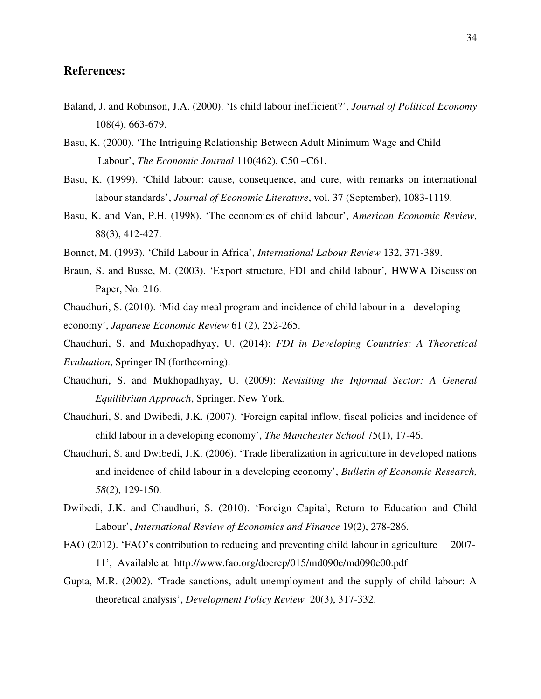### **References:**

- Baland, J. and Robinson, J.A. (2000). 'Is child labour inefficient?', *Journal of Political Economy* 108(4), 663-679.
- Basu, K. (2000). 'The Intriguing Relationship Between Adult Minimum Wage and Child Labour', *The Economic Journal* 110(462), C50 –C61.
- Basu, K. (1999). 'Child labour: cause, consequence, and cure, with remarks on international labour standards', *Journal of Economic Literature*, vol. 37 (September), 1083-1119.
- Basu, K. and Van, P.H. (1998). 'The economics of child labour', *American Economic Review*, 88(3), 412-427.
- Bonnet, M. (1993). 'Child Labour in Africa', *International Labour Review* 132, 371-389.
- Braun, S. and Busse, M. (2003). 'Export structure, FDI and child labour'*,* HWWA Discussion Paper, No. 216.
- Chaudhuri, S. (2010). 'Mid-day meal program and incidence of child labour in a developing economy', *Japanese Economic Review* 61 (2), 252-265.
- Chaudhuri, S. and Mukhopadhyay, U. (2014): *FDI in Developing Countries: A Theoretical Evaluation*, Springer IN (forthcoming).
- Chaudhuri, S. and Mukhopadhyay, U. (2009): *Revisiting the Informal Sector: A General Equilibrium Approach*, Springer. New York.
- Chaudhuri, S. and Dwibedi, J.K. (2007). 'Foreign capital inflow, fiscal policies and incidence of child labour in a developing economy', *The Manchester School* 75(1), 17-46.
- Chaudhuri, S. and Dwibedi, J.K. (2006). 'Trade liberalization in agriculture in developed nations and incidence of child labour in a developing economy', *Bulletin of Economic Research, 58*(*2*), 129-150.
- Dwibedi, J.K. and Chaudhuri, S. (2010). 'Foreign Capital, Return to Education and Child Labour', *International Review of Economics and Finance* 19(2), 278-286.
- FAO (2012). 'FAO's contribution to reducing and preventing child labour in agriculture 2007- 11', Available at http://www.fao.org/docrep/015/md090e/md090e00.pdf
- Gupta, M.R. (2002). 'Trade sanctions, adult unemployment and the supply of child labour: A theoretical analysis', *Development Policy Review* 20(3), 317-332.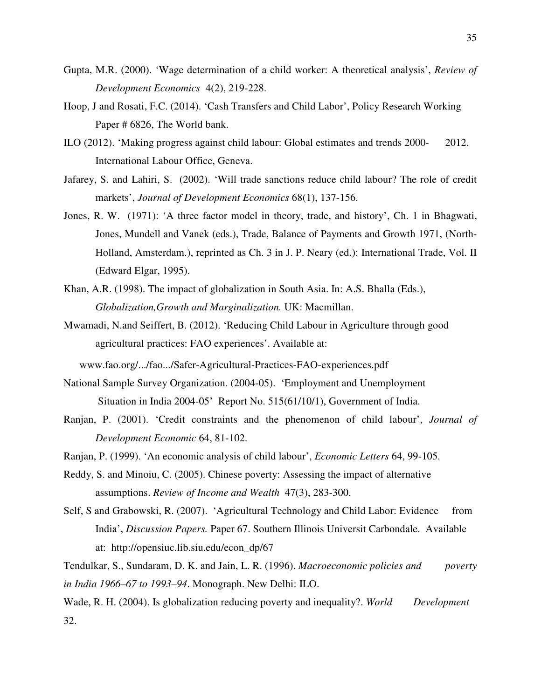- Gupta, M.R. (2000). 'Wage determination of a child worker: A theoretical analysis', *Review of Development Economics* 4(2), 219-228.
- Hoop, J and Rosati, F.C. (2014). 'Cash Transfers and Child Labor', Policy Research Working Paper # 6826, The World bank.
- ILO (2012). 'Making progress against child labour: Global estimates and trends 2000- 2012. International Labour Office, Geneva.
- Jafarey, S. and Lahiri, S. (2002). 'Will trade sanctions reduce child labour? The role of credit markets', *Journal of Development Economics* 68(1), 137-156.
- Jones, R. W. (1971): 'A three factor model in theory, trade, and history', Ch. 1 in Bhagwati, Jones, Mundell and Vanek (eds.), Trade, Balance of Payments and Growth 1971, (North-Holland, Amsterdam.), reprinted as Ch. 3 in J. P. Neary (ed.): International Trade, Vol. II (Edward Elgar, 1995).
- Khan, A.R. (1998). The impact of globalization in South Asia. In: A.S. Bhalla (Eds.), *Globalization,Growth and Marginalization.* UK: Macmillan.
- Mwamadi, N.and Seiffert, B. (2012). 'Reducing Child Labour in Agriculture through good agricultural practices: FAO experiences'. Available at:

www.fao.org/.../fao.../Safer-Agricultural-Practices-FAO-experiences.pdf

- National Sample Survey Organization. (2004-05). 'Employment and Unemployment Situation in India 2004-05' Report No. 515(61/10/1), Government of India.
- Ranjan, P. (2001). 'Credit constraints and the phenomenon of child labour', *Journal of Development Economic* 64, 81-102.
- Ranjan, P. (1999). 'An economic analysis of child labour', *Economic Letters* 64, 99-105.
- Reddy, S. and Minoiu, C. (2005). Chinese poverty: Assessing the impact of alternative assumptions. *Review of Income and Wealth* 47(3), 283-300.
- Self, S and Grabowski, R. (2007). 'Agricultural Technology and Child Labor: Evidence from India', *Discussion Papers.* Paper 67. Southern Illinois Universit Carbondale. Available at: http://opensiuc.lib.siu.edu/econ\_dp/67

Tendulkar, S., Sundaram, D. K. and Jain, L. R. (1996). *Macroeconomic policies and poverty in India 1966–67 to 1993–94*. Monograph. New Delhi: ILO.

Wade, R. H. (2004). Is globalization reducing poverty and inequality?. *World Development* 32.